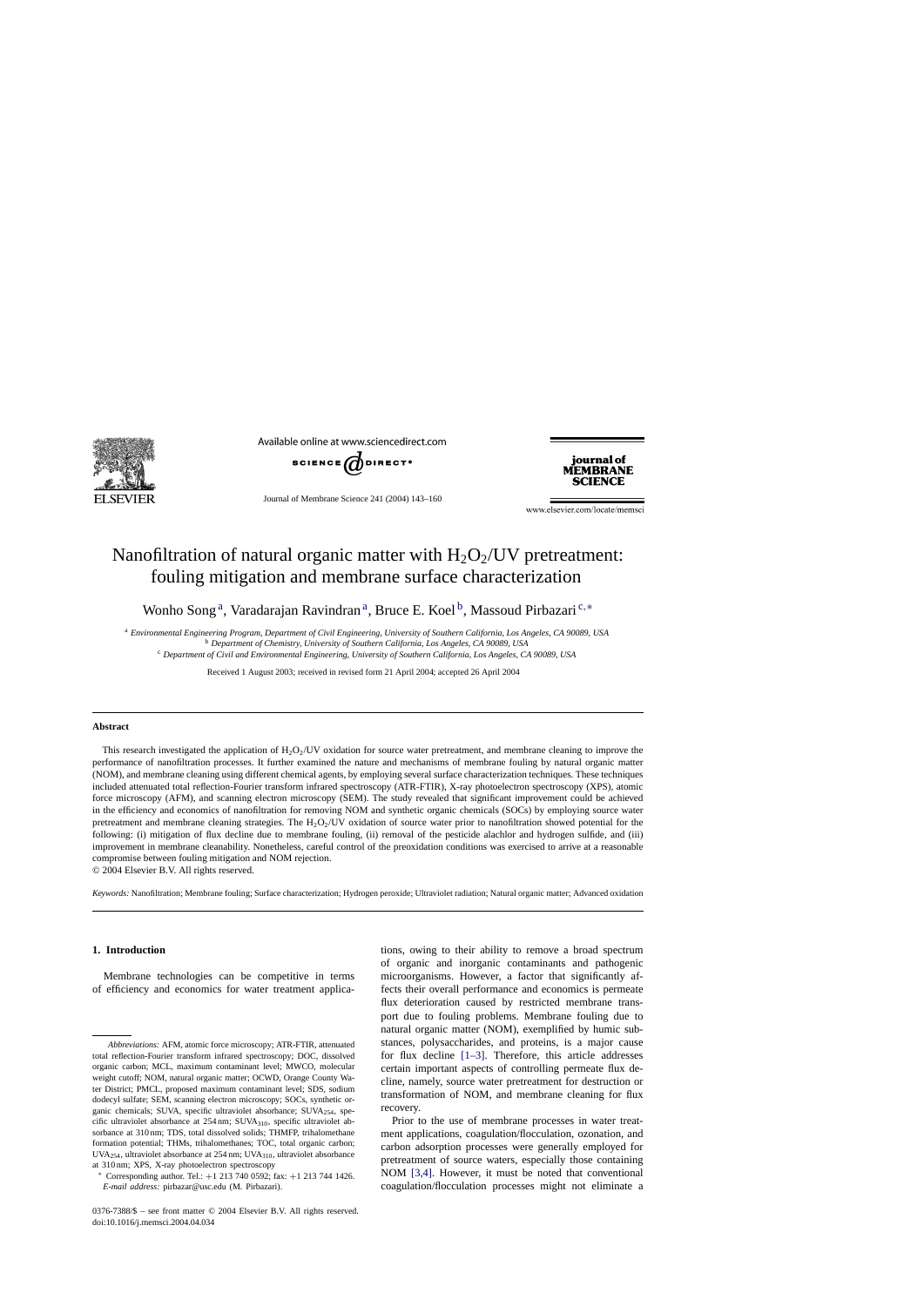

Available online at www.sciencedirect.com



Journal of Membrane Science 241 (2004) 143–160

iournal of **MEMBRANE SCIENCE** 

www.elsevier.com/locate/memsci

# Nanofiltration of natural organic matter with  $H_2O_2$ /UV pretreatment: fouling mitigation and membrane surface characterization

Wonho Song<sup>a</sup>, Varadarajan Ravindran<sup>a</sup>, Bruce E. Koel<sup>b</sup>, Massoud Pirbazari<sup>c,\*</sup>

<sup>a</sup> *Environmental Engineering Program, Department of Civil Engineering, University of Southern California, Los Angeles, CA 90089, USA*

<sup>b</sup> *Department of Chemistry, University of Southern California, Los Angeles, CA 90089, USA*

<sup>c</sup> *Department of Civil and Environmental Engineering, University of Southern California, Los Angeles, CA 90089, USA*

Received 1 August 2003; received in revised form 21 April 2004; accepted 26 April 2004

## **Abstract**

This research investigated the application of  $H_2O_2/U$  oxidation for source water pretreatment, and membrane cleaning to improve the performance of nanofiltration processes. It further examined the nature and mechanisms of membrane fouling by natural organic matter (NOM), and membrane cleaning using different chemical agents, by employing several surface characterization techniques. These techniques included attenuated total reflection-Fourier transform infrared spectroscopy (ATR-FTIR), X-ray photoelectron spectroscopy (XPS), atomic force microscopy (AFM), and scanning electron microscopy (SEM). The study revealed that significant improvement could be achieved in the efficiency and economics of nanofiltration for removing NOM and synthetic organic chemicals (SOCs) by employing source water pretreatment and membrane cleaning strategies. The  $H_2O_2$ /UV oxidation of source water prior to nanofiltration showed potential for the following: (i) mitigation of flux decline due to membrane fouling, (ii) removal of the pesticide alachlor and hydrogen sulfide, and (iii) improvement in membrane cleanability. Nonetheless, careful control of the preoxidation conditions was exercised to arrive at a reasonable compromise between fouling mitigation and NOM rejection.

© 2004 Elsevier B.V. All rights reserved.

*Keywords:* Nanofiltration; Membrane fouling; Surface characterization; Hydrogen peroxide; Ultraviolet radiation; Natural organic matter; Advanced oxidation

#### **1. Introduction**

Membrane technologies can be competitive in terms of efficiency and economics for water treatment applications, owing to their ability to remove a broad spectrum of organic and inorganic contaminants and pathogenic microorganisms. However, a factor that significantly affects their overall performance and economics is permeate flux deterioration caused by restricted membrane transport due to fouling problems. Membrane fouling due to natural organic matter (NOM), exemplified by humic substances, polysaccharides, and proteins, is a major cause for flux decline [\[1–3\].](#page-17-0) Therefore, this article addresses certain important aspects of controlling permeate flux decline, namely, source water pretreatment for destruction or transformation of NOM, and membrane cleaning for flux recovery.

Prior to the use of membrane processes in water treatment applications, coagulation/flocculation, ozonation, and carbon adsorption processes were generally employed for pretreatment of source waters, especially those containing NOM [\[3,4\].](#page-17-0) However, it must be noted that conventional coagulation/flocculation processes might not eliminate a

*Abbreviations:* AFM, atomic force microscopy; ATR-FTIR, attenuated total reflection-Fourier transform infrared spectroscopy; DOC, dissolved organic carbon; MCL, maximum contaminant level; MWCO, molecular weight cutoff; NOM, natural organic matter; OCWD, Orange County Water District; PMCL, proposed maximum contaminant level; SDS, sodium dodecyl sulfate; SEM, scanning electron microscopy; SOCs, synthetic organic chemicals; SUVA, specific ultraviolet absorbance; SUVA<sub>254</sub>, specific ultraviolet absorbance at 254 nm; SUVA<sub>310</sub>, specific ultraviolet absorbance at 310 nm; TDS, total dissolved solids; THMFP, trihalomethane formation potential; THMs, trihalomethanes; TOC, total organic carbon; UVA254, ultraviolet absorbance at 254 nm; UVA310, ultraviolet absorbance at 310 nm; XPS, X-ray photoelectron spectroscopy

<sup>∗</sup> Corresponding author. Tel.: +1 213 740 0592; fax: +1 213 744 1426. *E-mail address:* pirbazar@usc.edu (M. Pirbazari).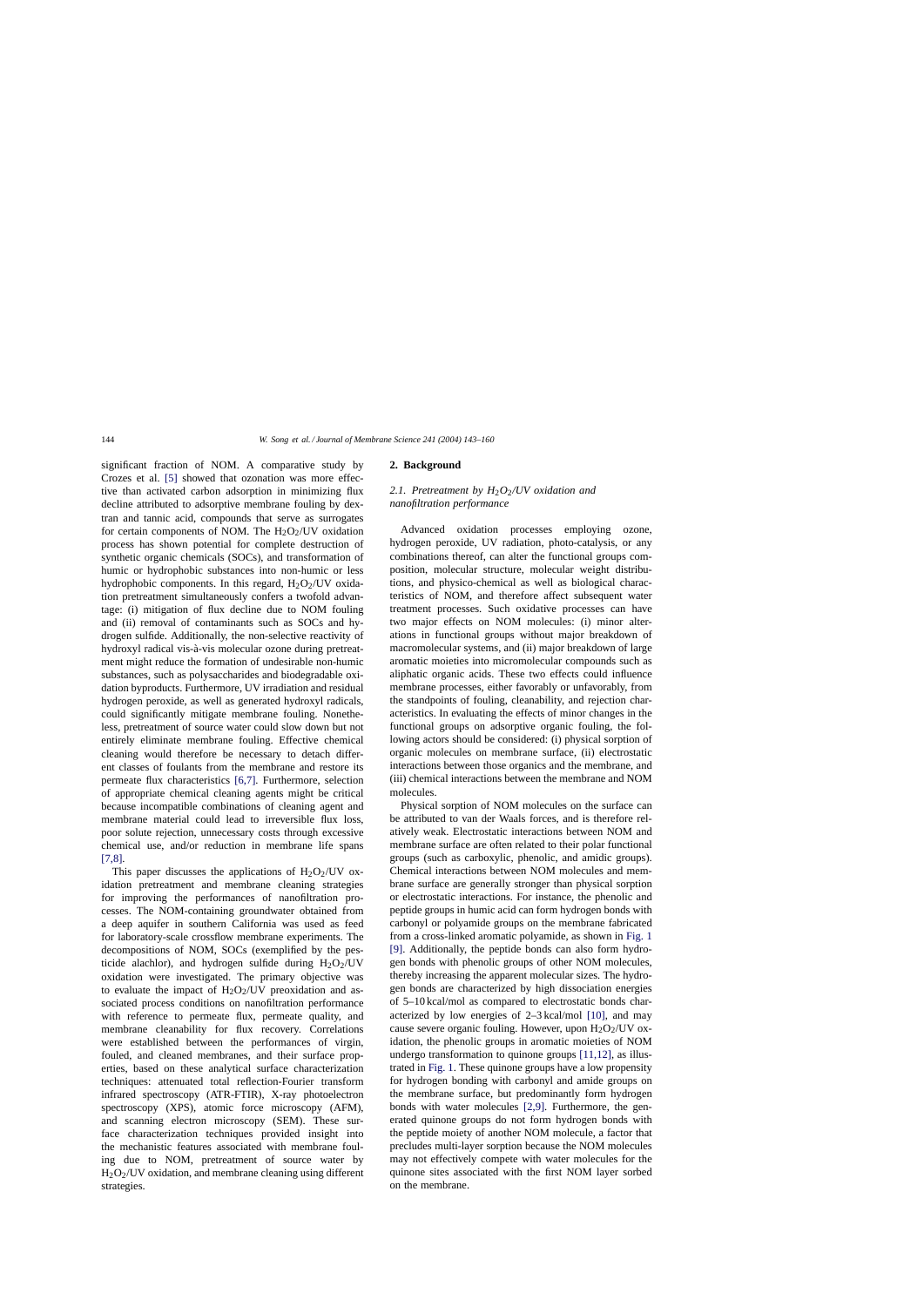significant fraction of NOM. A comparative study by Crozes et al. [\[5\]](#page-17-0) showed that ozonation was more effective than activated carbon adsorption in minimizing flux decline attributed to adsorptive membrane fouling by dextran and tannic acid, compounds that serve as surrogates for certain components of NOM. The  $H_2O_2$ /UV oxidation process has shown potential for complete destruction of synthetic organic chemicals (SOCs), and transformation of humic or hydrophobic substances into non-humic or less hydrophobic components. In this regard,  $H_2O_2/UV$  oxidation pretreatment simultaneously confers a twofold advantage: (i) mitigation of flux decline due to NOM fouling and (ii) removal of contaminants such as SOCs and hydrogen sulfide. Additionally, the non-selective reactivity of hydroxyl radical vis-à-vis molecular ozone during pretreatment might reduce the formation of undesirable non-humic substances, such as polysaccharides and biodegradable oxidation byproducts. Furthermore, UV irradiation and residual hydrogen peroxide, as well as generated hydroxyl radicals, could significantly mitigate membrane fouling. Nonetheless, pretreatment of source water could slow down but not entirely eliminate membrane fouling. Effective chemical cleaning would therefore be necessary to detach different classes of foulants from the membrane and restore its permeate flux characteristics [\[6,7\].](#page-17-0) Furthermore, selection of appropriate chemical cleaning agents might be critical because incompatible combinations of cleaning agent and membrane material could lead to irreversible flux loss, poor solute rejection, unnecessary costs through excessive chemical use, and/or reduction in membrane life spans  $[7,8]$ .

This paper discusses the applications of  $H_2O_2/UV$  oxidation pretreatment and membrane cleaning strategies for improving the performances of nanofiltration processes. The NOM-containing groundwater obtained from a deep aquifer in southern California was used as feed for laboratory-scale crossflow membrane experiments. The decompositions of NOM, SOCs (exemplified by the pesticide alachlor), and hydrogen sulfide during  $H_2O_2/UV$ oxidation were investigated. The primary objective was to evaluate the impact of  $H_2O_2$ /UV preoxidation and associated process conditions on nanofiltration performance with reference to permeate flux, permeate quality, and membrane cleanability for flux recovery. Correlations were established between the performances of virgin, fouled, and cleaned membranes, and their surface properties, based on these analytical surface characterization techniques: attenuated total reflection-Fourier transform infrared spectroscopy (ATR-FTIR), X-ray photoelectron spectroscopy (XPS), atomic force microscopy (AFM), and scanning electron microscopy (SEM). These surface characterization techniques provided insight into the mechanistic features associated with membrane fouling due to NOM, pretreatment of source water by H2O2/UV oxidation, and membrane cleaning using different strategies.

# **2. Background**

# 2.1. Pretreatment by H<sub>2</sub>O<sub>2</sub>/UV oxidation and *nanofiltration performance*

Advanced oxidation processes employing ozone, hydrogen peroxide, UV radiation, photo-catalysis, or any combinations thereof, can alter the functional groups composition, molecular structure, molecular weight distributions, and physico-chemical as well as biological characteristics of NOM, and therefore affect subsequent water treatment processes. Such oxidative processes can have two major effects on NOM molecules: (i) minor alterations in functional groups without major breakdown of macromolecular systems, and (ii) major breakdown of large aromatic moieties into micromolecular compounds such as aliphatic organic acids. These two effects could influence membrane processes, either favorably or unfavorably, from the standpoints of fouling, cleanability, and rejection characteristics. In evaluating the effects of minor changes in the functional groups on adsorptive organic fouling, the following actors should be considered: (i) physical sorption of organic molecules on membrane surface, (ii) electrostatic interactions between those organics and the membrane, and (iii) chemical interactions between the membrane and NOM molecules.

Physical sorption of NOM molecules on the surface can be attributed to van der Waals forces, and is therefore relatively weak. Electrostatic interactions between NOM and membrane surface are often related to their polar functional groups (such as carboxylic, phenolic, and amidic groups). Chemical interactions between NOM molecules and membrane surface are generally stronger than physical sorption or electrostatic interactions. For instance, the phenolic and peptide groups in humic acid can form hydrogen bonds with carbonyl or polyamide groups on the membrane fabricated from a cross-linked aromatic polyamide, as shown in [Fig. 1](#page-2-0) [\[9\].](#page-17-0) Additionally, the peptide bonds can also form hydrogen bonds with phenolic groups of other NOM molecules, thereby increasing the apparent molecular sizes. The hydrogen bonds are characterized by high dissociation energies of 5–10 kcal/mol as compared to electrostatic bonds characterized by low energies of 2–3 kcal/mol [\[10\],](#page-17-0) and may cause severe organic fouling. However, upon  $H_2O_2$ /UV oxidation, the phenolic groups in aromatic moieties of NOM undergo transformation to quinone groups [\[11,12\],](#page-17-0) as illustrated in [Fig. 1. T](#page-2-0)hese quinone groups have a low propensity for hydrogen bonding with carbonyl and amide groups on the membrane surface, but predominantly form hydrogen bonds with water molecules [\[2,9\].](#page-17-0) Furthermore, the generated quinone groups do not form hydrogen bonds with the peptide moiety of another NOM molecule, a factor that precludes multi-layer sorption because the NOM molecules may not effectively compete with water molecules for the quinone sites associated with the first NOM layer sorbed on the membrane.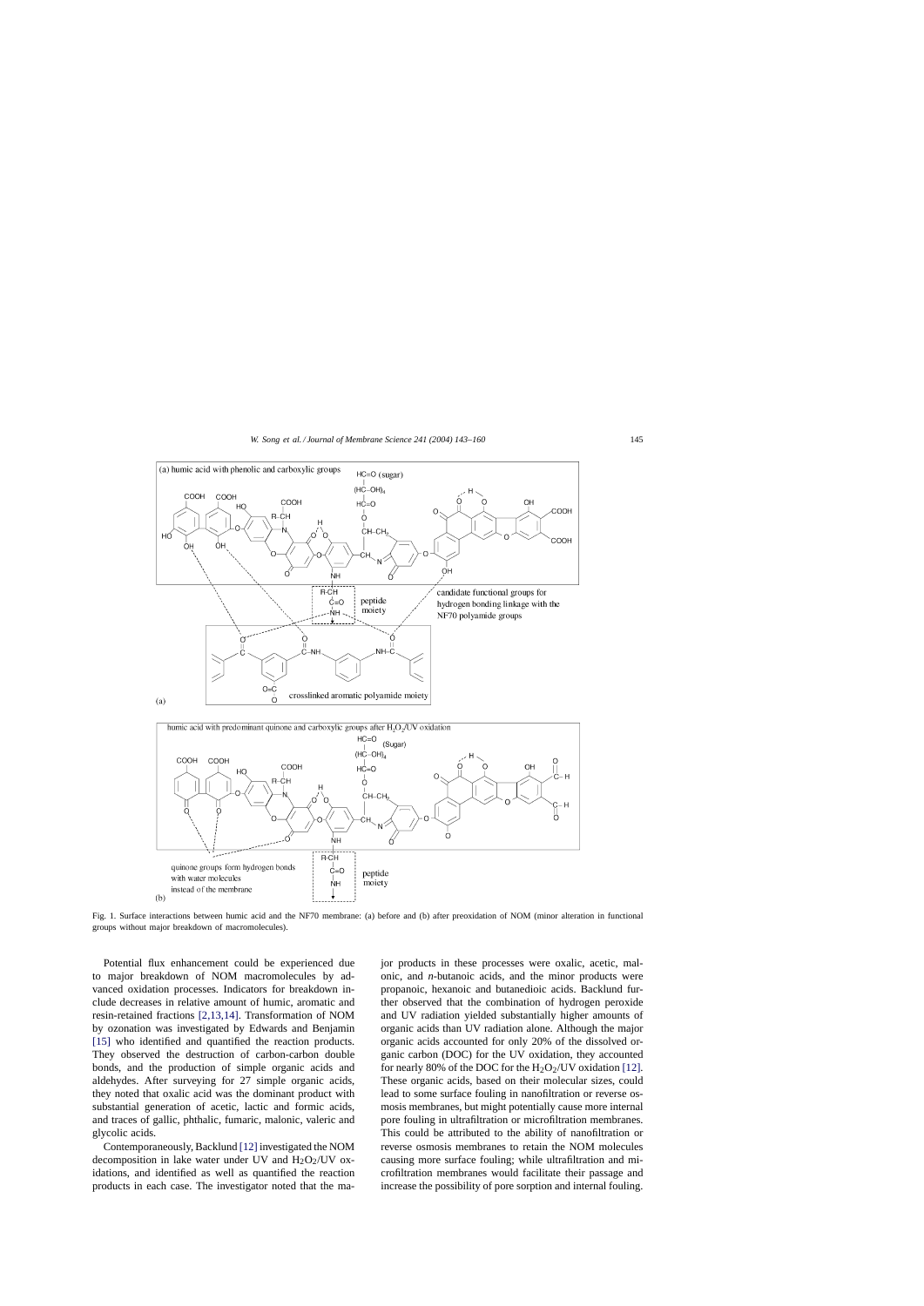<span id="page-2-0"></span>

Fig. 1. Surface interactions between humic acid and the NF70 membrane: (a) before and (b) after preoxidation of NOM (minor alteration in functional groups without major breakdown of macromolecules).

Potential flux enhancement could be experienced due to major breakdown of NOM macromolecules by advanced oxidation processes. Indicators for breakdown include decreases in relative amount of humic, aromatic and resin-retained fractions [\[2,13,14\].](#page-17-0) Transformation of NOM by ozonation was investigated by Edwards and Benjamin [\[15\]](#page-17-0) who identified and quantified the reaction products. They observed the destruction of carbon-carbon double bonds, and the production of simple organic acids and aldehydes. After surveying for 27 simple organic acids, they noted that oxalic acid was the dominant product with substantial generation of acetic, lactic and formic acids, and traces of gallic, phthalic, fumaric, malonic, valeric and glycolic acids.

Contemporaneously, Backlund [\[12\]](#page-17-0) investigated the NOM decomposition in lake water under UV and  $H_2O_2$ /UV oxidations, and identified as well as quantified the reaction products in each case. The investigator noted that the major products in these processes were oxalic, acetic, malonic, and *n*-butanoic acids, and the minor products were propanoic, hexanoic and butanedioic acids. Backlund further observed that the combination of hydrogen peroxide and UV radiation yielded substantially higher amounts of organic acids than UV radiation alone. Although the major organic acids accounted for only 20% of the dissolved organic carbon (DOC) for the UV oxidation, they accounted for nearly 80% of the DOC for the  $H_2O_2$ /UV oxidation [\[12\].](#page-17-0) These organic acids, based on their molecular sizes, could lead to some surface fouling in nanofiltration or reverse osmosis membranes, but might potentially cause more internal pore fouling in ultrafiltration or microfiltration membranes. This could be attributed to the ability of nanofiltration or reverse osmosis membranes to retain the NOM molecules causing more surface fouling; while ultrafiltration and microfiltration membranes would facilitate their passage and increase the possibility of pore sorption and internal fouling.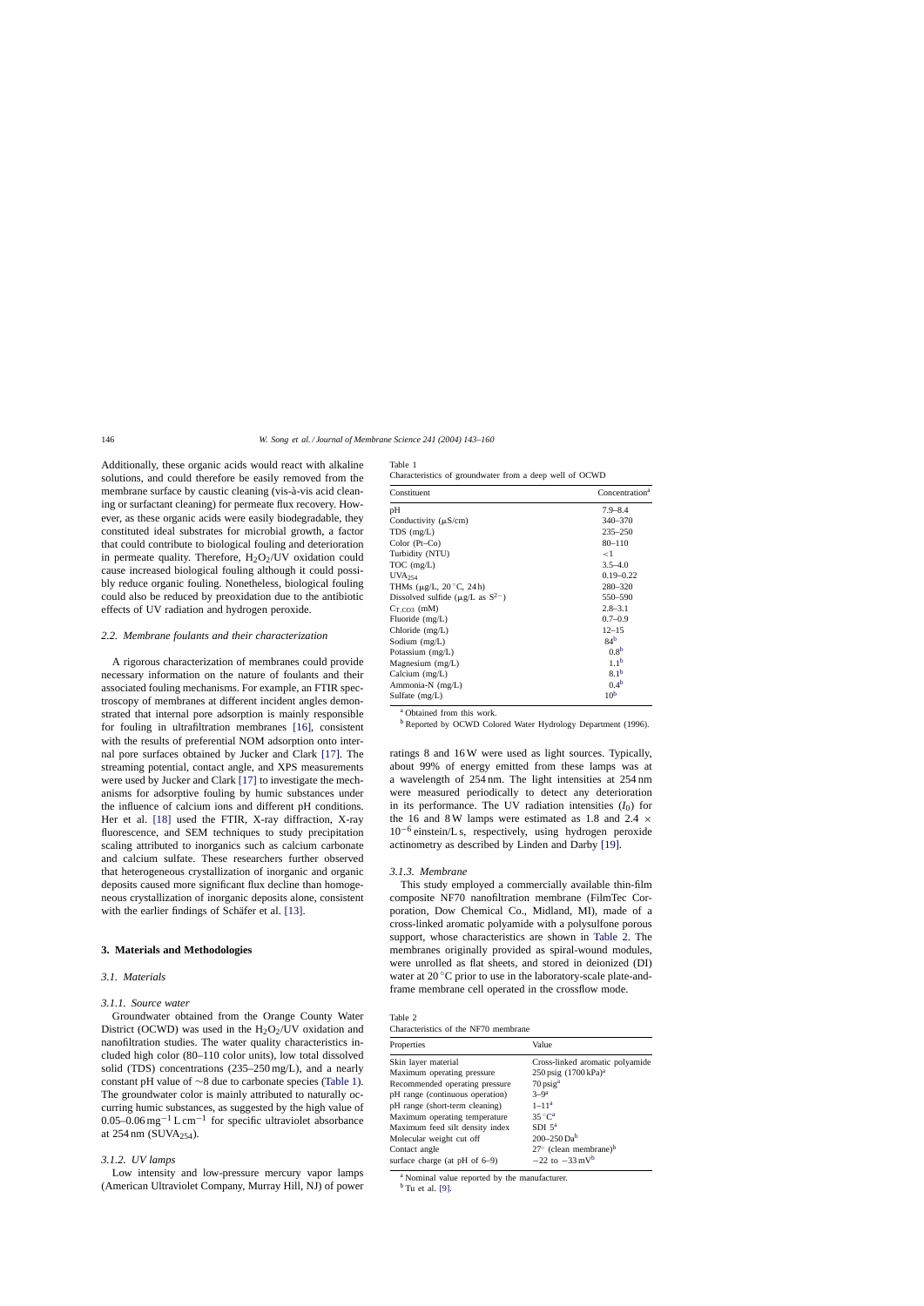<span id="page-3-0"></span>Additionally, these organic acids would react with alkaline solutions, and could therefore be easily removed from the membrane surface by caustic cleaning (vis-à-vis acid cleaning or surfactant cleaning) for permeate flux recovery. However, as these organic acids were easily biodegradable, they constituted ideal substrates for microbial growth, a factor that could contribute to biological fouling and deterioration in permeate quality. Therefore,  $H_2O_2/UV$  oxidation could cause increased biological fouling although it could possibly reduce organic fouling. Nonetheless, biological fouling could also be reduced by preoxidation due to the antibiotic effects of UV radiation and hydrogen peroxide.

#### *2.2. Membrane foulants and their characterization*

A rigorous characterization of membranes could provide necessary information on the nature of foulants and their associated fouling mechanisms. For example, an FTIR spectroscopy of membranes at different incident angles demonstrated that internal pore adsorption is mainly responsible for fouling in ultrafiltration membranes [\[16\],](#page-17-0) consistent with the results of preferential NOM adsorption onto internal pore surfaces obtained by Jucker and Clark [\[17\].](#page-17-0) The streaming potential, contact angle, and XPS measurements were used by Jucker and Clark [\[17\]](#page-17-0) to investigate the mechanisms for adsorptive fouling by humic substances under the influence of calcium ions and different pH conditions. Her et al. [\[18\]](#page-17-0) used the FTIR, X-ray diffraction, X-ray fluorescence, and SEM techniques to study precipitation scaling attributed to inorganics such as calcium carbonate and calcium sulfate. These researchers further observed that heterogeneous crystallization of inorganic and organic deposits caused more significant flux decline than homogeneous crystallization of inorganic deposits alone, consistent with the earlier findings of Schäfer et al. [\[13\].](#page-17-0)

#### **3. Materials and Methodologies**

#### *3.1. Materials*

## *3.1.1. Source water*

Groundwater obtained from the Orange County Water District (OCWD) was used in the  $H_2O_2$ /UV oxidation and nanofiltration studies. The water quality characteristics included high color (80–110 color units), low total dissolved solid (TDS) concentrations (235–250 mg/L), and a nearly constant pH value of ∼8 due to carbonate species (Table 1). The groundwater color is mainly attributed to naturally occurring humic substances, as suggested by the high value of 0.05–0.06 mg−<sup>1</sup> L cm−<sup>1</sup> for specific ultraviolet absorbance at  $254 \text{ nm}$  (SUVA<sub>254</sub>).

# *3.1.2. UV lamps*

Low intensity and low-pressure mercury vapor lamps (American Ultraviolet Company, Murray Hill, NJ) of power

| Table 1                                                 |  |  |  |
|---------------------------------------------------------|--|--|--|
| Characteristics of groundwater from a deep well of OCWD |  |  |  |

| Constituent                                        | Concentration <sup>a</sup> |
|----------------------------------------------------|----------------------------|
| pH                                                 | $7.9 - 8.4$                |
| Conductivity $(\mu S/cm)$                          | 340-370                    |
| $TDS$ (mg/L)                                       | $235 - 250$                |
| Color $(Pt-Co)$                                    | $80 - 110$                 |
| Turbidity (NTU)                                    | ${<}1$                     |
| $TOC$ (mg/L)                                       | $3.5 - 4.0$                |
| $UVA_{254}$                                        | $0.19 - 0.22$              |
| THMs $(\mu$ g/L, 20 °C, 24 h)                      | 280-320                    |
| Dissolved sulfide ( $\mu$ g/L as S <sup>2-</sup> ) | 550-590                    |
| $C_{T,CO3}$ (mM)                                   | $2.8 - 3.1$                |
| Fluoride $(mg/L)$                                  | $0.7 - 0.9$                |
| Chloride $(mg/L)$                                  | $12 - 15$                  |
| Sodium $(mg/L)$                                    | 84 <sup>b</sup>            |
| Potassium $(mg/L)$                                 | 0.8 <sup>b</sup>           |
| Magnesium $(mg/L)$                                 | 1.1 <sup>b</sup>           |
| Calcium $(mg/L)$                                   | 8.1 <sup>b</sup>           |
| Ammonia-N (mg/L)                                   | 0.4 <sup>b</sup>           |
| Sulfate (mg/L)                                     | 10 <sup>b</sup>            |

<sup>a</sup> Obtained from this work.

<sup>b</sup> Reported by OCWD Colored Water Hydrology Department (1996).

ratings 8 and 16 W were used as light sources. Typically, about 99% of energy emitted from these lamps was at a wavelength of 254 nm. The light intensities at 254 nm were measured periodically to detect any deterioration in its performance. The UV radiation intensities  $(I_0)$  for the 16 and 8 W lamps were estimated as 1.8 and 2.4  $\times$  $10^{-6}$  einstein/L s, respectively, using hydrogen peroxide actinometry as described by Linden and Darby [\[19\].](#page-17-0)

#### *3.1.3. Membrane*

This study employed a commercially available thin-film composite NF70 nanofiltration membrane (FilmTec Corporation, Dow Chemical Co., Midland, MI), made of a cross-linked aromatic polyamide with a polysulfone porous support, whose characteristics are shown in Table 2. The membranes originally provided as spiral-wound modules, were unrolled as flat sheets, and stored in deionized (DI) water at  $20^{\circ}$ C prior to use in the laboratory-scale plate-andframe membrane cell operated in the crossflow mode.

Table 2 ristics of the NF70 membrane

| Characteristics of the <b>IMETO</b> includiant |                                            |
|------------------------------------------------|--------------------------------------------|
| Properties                                     | Value                                      |
| Skin layer material                            | Cross-linked aromatic polyamide            |
| Maximum operating pressure                     | 250 psig $(1700 \text{ kPa})^a$            |
| Recommended operating pressure                 | $70$ psig <sup>a</sup>                     |
| pH range (continuous operation)                | $3-9^a$                                    |
| pH range (short-term cleaning)                 | $1 - 11a$                                  |
| Maximum operating temperature                  | $35^{\circ}C^a$                            |
| Maximum feed silt density index                | SDI $5^a$                                  |
| Molecular weight cut off                       | $200 - 250$ Da <sup>b</sup>                |
| Contact angle                                  | $27^{\circ}$ (clean membrane) <sup>b</sup> |
| surface charge (at $pH$ of $6-9$ )             | $-22$ to $-33$ mV <sup>b</sup>             |
|                                                |                                            |

<sup>a</sup> Nominal value reported by the manufacturer.

 $<sup>b</sup>$  Tu et al. [\[9\].](#page-17-0)</sup>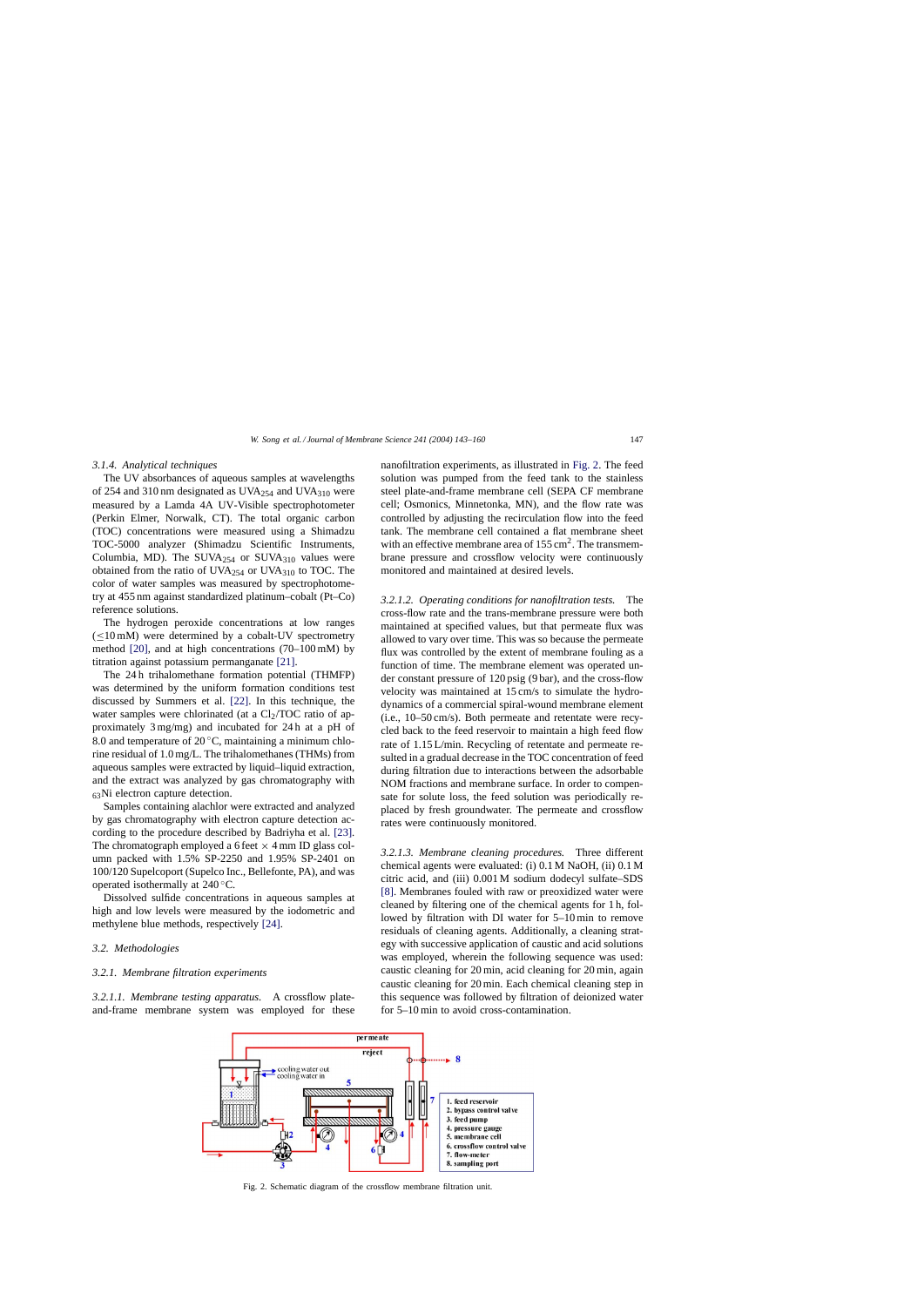#### *3.1.4. Analytical techniques*

The UV absorbances of aqueous samples at wavelengths of 254 and 310 nm designated as UVA $_{254}$  and UVA $_{310}$  were measured by a Lamda 4A UV-Visible spectrophotometer (Perkin Elmer, Norwalk, CT). The total organic carbon (TOC) concentrations were measured using a Shimadzu TOC-5000 analyzer (Shimadzu Scientific Instruments, Columbia, MD). The SUVA $_{254}$  or SUVA $_{310}$  values were obtained from the ratio of UVA $_{254}$  or UVA $_{310}$  to TOC. The color of water samples was measured by spectrophotometry at 455 nm against standardized platinum–cobalt (Pt–Co) reference solutions.

The hydrogen peroxide concentrations at low ranges  $(\leq10$  mM) were determined by a cobalt-UV spectrometry method [\[20\],](#page-17-0) and at high concentrations (70–100 mM) by titration against potassium permanganate [\[21\].](#page-17-0)

The 24 h trihalomethane formation potential (THMFP) was determined by the uniform formation conditions test discussed by Summers et al. [\[22\].](#page-17-0) In this technique, the water samples were chlorinated (at a  $Cl<sub>2</sub>/TOC$  ratio of approximately 3 mg/mg) and incubated for 24 h at a pH of 8.0 and temperature of  $20^{\circ}$ C, maintaining a minimum chlorine residual of 1.0 mg/L. The trihalomethanes (THMs) from aqueous samples were extracted by liquid–liquid extraction, and the extract was analyzed by gas chromatography with 63Ni electron capture detection.

Samples containing alachlor were extracted and analyzed by gas chromatography with electron capture detection according to the procedure described by Badriyha et al. [\[23\].](#page-17-0) The chromatograph employed a 6 feet  $\times$  4 mm ID glass column packed with 1.5% SP-2250 and 1.95% SP-2401 on 100/120 Supelcoport (Supelco Inc., Bellefonte, PA), and was operated isothermally at 240 ◦C.

Dissolved sulfide concentrations in aqueous samples at high and low levels were measured by the iodometric and methylene blue methods, respectively [\[24\].](#page-17-0)

## *3.2. Methodologies*

# *3.2.1. Membrane filtration experiments*

*3.2.1.1. Membrane testing apparatus.* A crossflow plateand-frame membrane system was employed for these nanofiltration experiments, as illustrated in Fig. 2. The feed solution was pumped from the feed tank to the stainless steel plate-and-frame membrane cell (SEPA CF membrane cell; Osmonics, Minnetonka, MN), and the flow rate was controlled by adjusting the recirculation flow into the feed tank. The membrane cell contained a flat membrane sheet with an effective membrane area of  $155 \text{ cm}^2$ . The transmembrane pressure and crossflow velocity were continuously monitored and maintained at desired levels.

*3.2.1.2. Operating conditions for nanofiltration tests.* The cross-flow rate and the trans-membrane pressure were both maintained at specified values, but that permeate flux was allowed to vary over time. This was so because the permeate flux was controlled by the extent of membrane fouling as a function of time. The membrane element was operated under constant pressure of 120 psig (9 bar), and the cross-flow velocity was maintained at 15 cm/s to simulate the hydrodynamics of a commercial spiral-wound membrane element (i.e., 10–50 cm/s). Both permeate and retentate were recycled back to the feed reservoir to maintain a high feed flow rate of 1.15 L/min. Recycling of retentate and permeate resulted in a gradual decrease in the TOC concentration of feed during filtration due to interactions between the adsorbable NOM fractions and membrane surface. In order to compensate for solute loss, the feed solution was periodically replaced by fresh groundwater. The permeate and crossflow rates were continuously monitored.

*3.2.1.3. Membrane cleaning procedures.* Three different chemical agents were evaluated: (i) 0.1 M NaOH, (ii) 0.1 M citric acid, and (iii) 0.001 M sodium dodecyl sulfate–SDS [\[8\].](#page-17-0) Membranes fouled with raw or preoxidized water were cleaned by filtering one of the chemical agents for 1 h, followed by filtration with DI water for 5–10 min to remove residuals of cleaning agents. Additionally, a cleaning strategy with successive application of caustic and acid solutions was employed, wherein the following sequence was used: caustic cleaning for 20 min, acid cleaning for 20 min, again caustic cleaning for 20 min. Each chemical cleaning step in this sequence was followed by filtration of deionized water for 5–10 min to avoid cross-contamination.



Fig. 2. Schematic diagram of the crossflow membrane filtration unit.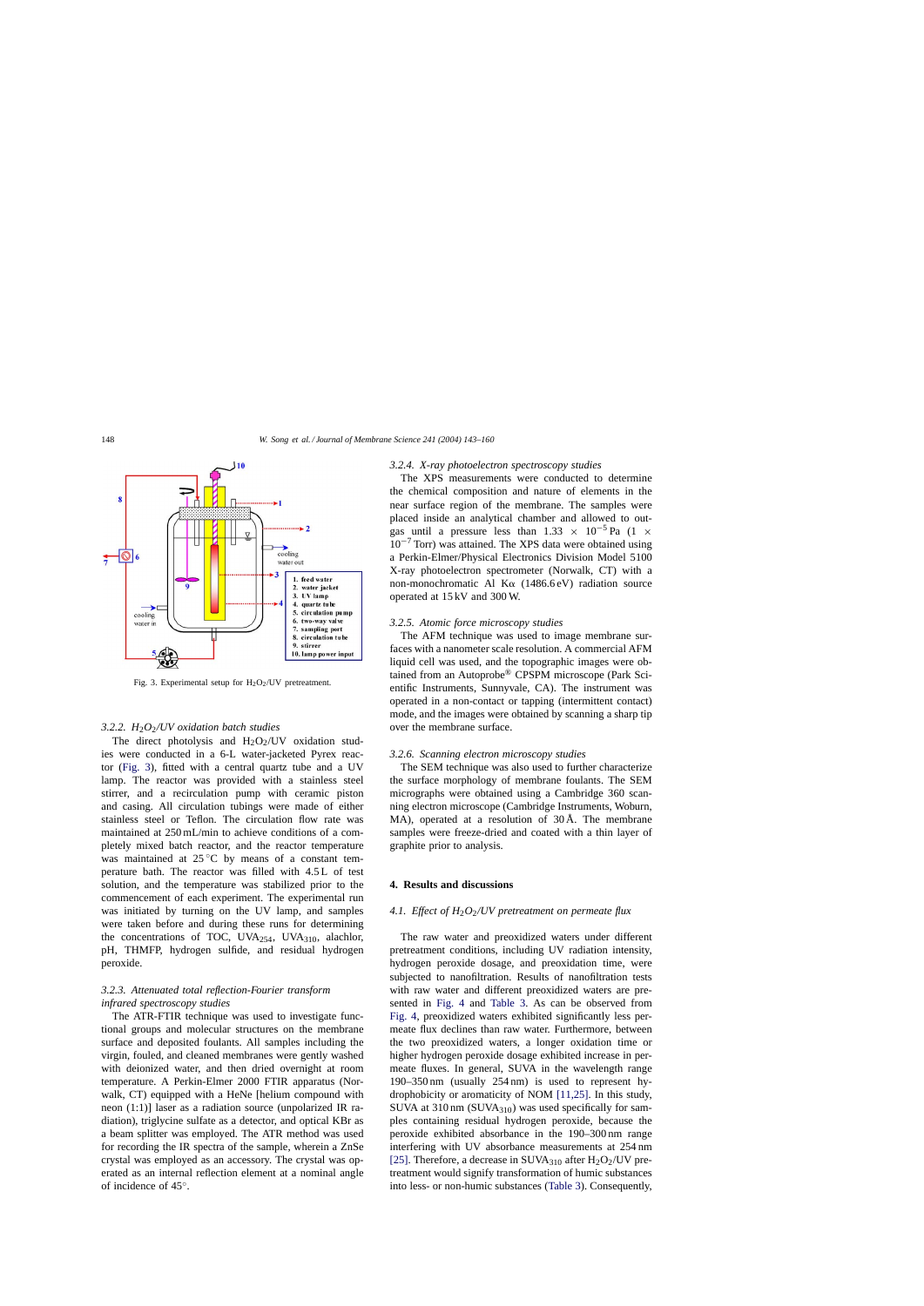

Fig. 3. Experimental setup for  $H_2O_2$ /UV pretreatment.

## *3.2.2. H*2*O*2*/UV oxidation batch studies*

The direct photolysis and  $H_2O_2/UV$  oxidation studies were conducted in a 6-L water-jacketed Pyrex reactor (Fig. 3), fitted with a central quartz tube and a UV lamp. The reactor was provided with a stainless steel stirrer, and a recirculation pump with ceramic piston and casing. All circulation tubings were made of either stainless steel or Teflon. The circulation flow rate was maintained at 250 mL/min to achieve conditions of a completely mixed batch reactor, and the reactor temperature was maintained at  $25^{\circ}$ C by means of a constant temperature bath. The reactor was filled with 4.5 L of test solution, and the temperature was stabilized prior to the commencement of each experiment. The experimental run was initiated by turning on the UV lamp, and samples were taken before and during these runs for determining the concentrations of TOC, UVA $_{254}$ , UVA $_{310}$ , alachlor, pH, THMFP, hydrogen sulfide, and residual hydrogen peroxide.

# *3.2.3. Attenuated total reflection-Fourier transform infrared spectroscopy studies*

The ATR-FTIR technique was used to investigate functional groups and molecular structures on the membrane surface and deposited foulants. All samples including the virgin, fouled, and cleaned membranes were gently washed with deionized water, and then dried overnight at room temperature. A Perkin-Elmer 2000 FTIR apparatus (Norwalk, CT) equipped with a HeNe [helium compound with neon (1:1)] laser as a radiation source (unpolarized IR radiation), triglycine sulfate as a detector, and optical KBr as a beam splitter was employed. The ATR method was used for recording the IR spectra of the sample, wherein a ZnSe crystal was employed as an accessory. The crystal was operated as an internal reflection element at a nominal angle of incidence of 45◦.

#### *3.2.4. X-ray photoelectron spectroscopy studies*

The XPS measurements were conducted to determine the chemical composition and nature of elements in the near surface region of the membrane. The samples were placed inside an analytical chamber and allowed to outgas until a pressure less than 1.33  $\times$  10<sup>-5</sup> Pa (1  $\times$  $10^{-7}$  Torr) was attained. The XPS data were obtained using a Perkin-Elmer/Physical Electronics Division Model 5100 X-ray photoelectron spectrometer (Norwalk, CT) with a non-monochromatic Al K $\alpha$  (1486.6 eV) radiation source operated at 15 kV and 300 W.

# *3.2.5. Atomic force microscopy studies*

The AFM technique was used to image membrane surfaces with a nanometer scale resolution. A commercial AFM liquid cell was used, and the topographic images were obtained from an Autoprobe® CPSPM microscope (Park Scientific Instruments, Sunnyvale, CA). The instrument was operated in a non-contact or tapping (intermittent contact) mode, and the images were obtained by scanning a sharp tip over the membrane surface.

## *3.2.6. Scanning electron microscopy studies*

The SEM technique was also used to further characterize the surface morphology of membrane foulants. The SEM micrographs were obtained using a Cambridge 360 scanning electron microscope (Cambridge Instruments, Woburn, MA), operated at a resolution of 30 Å. The membrane samples were freeze-dried and coated with a thin layer of graphite prior to analysis.

# **4. Results and discussions**

## *4.1. Effect of H*2*O*2*/UV pretreatment on permeate flux*

The raw water and preoxidized waters under different pretreatment conditions, including UV radiation intensity, hydrogen peroxide dosage, and preoxidation time, were subjected to nanofiltration. Results of nanofiltration tests with raw water and different preoxidized waters are presented in [Fig. 4](#page-6-0) and [Table 3.](#page-6-0) As can be observed from [Fig. 4,](#page-6-0) preoxidized waters exhibited significantly less permeate flux declines than raw water. Furthermore, between the two preoxidized waters, a longer oxidation time or higher hydrogen peroxide dosage exhibited increase in permeate fluxes. In general, SUVA in the wavelength range 190–350 nm (usually 254 nm) is used to represent hydrophobicity or aromaticity of NOM [\[11,25\].](#page-17-0) In this study, SUVA at  $310 \text{ nm}$  (SUVA $_{310}$ ) was used specifically for samples containing residual hydrogen peroxide, because the peroxide exhibited absorbance in the 190–300 nm range interfering with UV absorbance measurements at 254 nm [\[25\].](#page-17-0) Therefore, a decrease in SUVA $_{310}$  after H<sub>2</sub>O<sub>2</sub>/UV pretreatment would signify transformation of humic substances into less- or non-humic substances ([Table 3\).](#page-6-0) Consequently,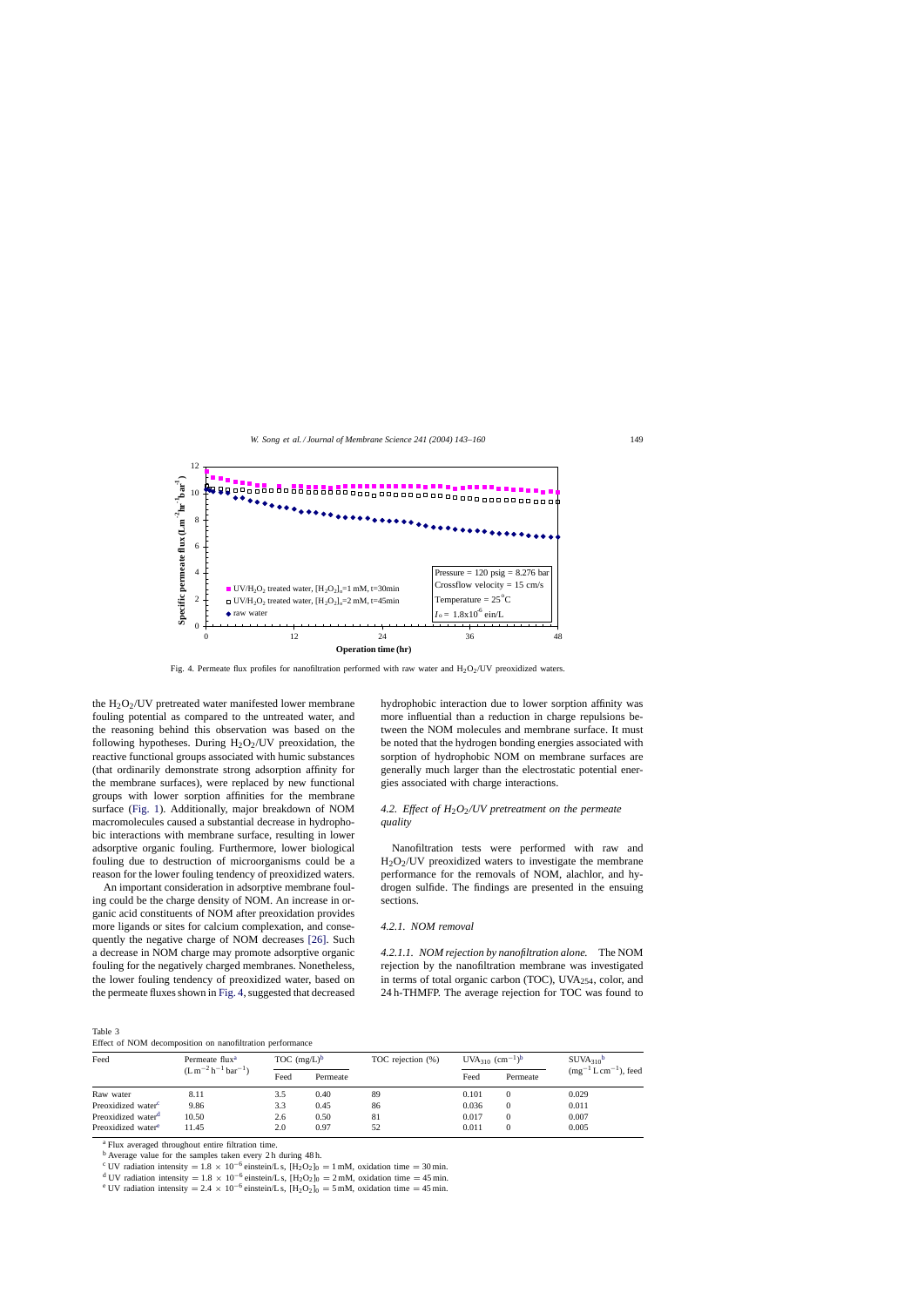<span id="page-6-0"></span>

Fig. 4. Permeate flux profiles for nanofiltration performed with raw water and  $H_2O_2/U$  preoxidized waters.

the  $H_2O_2/UV$  pretreated water manifested lower membrane fouling potential as compared to the untreated water, and the reasoning behind this observation was based on the following hypotheses. During  $H_2O_2/UV$  preoxidation, the reactive functional groups associated with humic substances (that ordinarily demonstrate strong adsorption affinity for the membrane surfaces), were replaced by new functional groups with lower sorption affinities for the membrane surface ([Fig. 1\).](#page-2-0) Additionally, major breakdown of NOM macromolecules caused a substantial decrease in hydrophobic interactions with membrane surface, resulting in lower adsorptive organic fouling. Furthermore, lower biological fouling due to destruction of microorganisms could be a reason for the lower fouling tendency of preoxidized waters.

An important consideration in adsorptive membrane fouling could be the charge density of NOM. An increase in organic acid constituents of NOM after preoxidation provides more ligands or sites for calcium complexation, and consequently the negative charge of NOM decreases [\[26\].](#page-17-0) Such a decrease in NOM charge may promote adsorptive organic fouling for the negatively charged membranes. Nonetheless, the lower fouling tendency of preoxidized water, based on the permeate fluxes shown in Fig. 4, suggested that decreased

Table 3 Effect of NOM decomposition on nanofiltration performance hydrophobic interaction due to lower sorption affinity was more influential than a reduction in charge repulsions between the NOM molecules and membrane surface. It must be noted that the hydrogen bonding energies associated with sorption of hydrophobic NOM on membrane surfaces are generally much larger than the electrostatic potential energies associated with charge interactions.

# *4.2. Effect of H*2*O*2*/UV pretreatment on the permeate quality*

Nanofiltration tests were performed with raw and  $H<sub>2</sub>O<sub>2</sub>/UV$  preoxidized waters to investigate the membrane performance for the removals of NOM, alachlor, and hydrogen sulfide. The findings are presented in the ensuing sections.

# *4.2.1. NOM removal*

*4.2.1.1. NOM rejection by nanofiltration alone.* The NOM rejection by the nanofiltration membrane was investigated in terms of total organic carbon (TOC), UVA254, color, and 24 h-THMFP. The average rejection for TOC was found to

| Feed                           | Permeate flux <sup>a</sup><br>$(L m^{-2} h^{-1} bar^{-1})$ | TOC $(mg/L)^b$ |          | TOC rejection (%) | UVA <sub>310</sub> $(cm^{-1})^b$ |          | $SUVA310$ <sup>b</sup>       |  |
|--------------------------------|------------------------------------------------------------|----------------|----------|-------------------|----------------------------------|----------|------------------------------|--|
|                                |                                                            | Feed           | Permeate |                   | Feed                             | Permeate | $(mg^{-1} L cm^{-1})$ , feed |  |
| Raw water                      | 8.11                                                       | 3.5            | 0.40     | 89                | 0.101                            | $\Omega$ | 0.029                        |  |
| Preoxidized water <sup>c</sup> | 9.86                                                       | 3.3            | 0.45     | 86                | 0.036                            | $\Omega$ | 0.011                        |  |
| Preoxidized water <sup>d</sup> | 10.50                                                      | 2.6            | 0.50     | 81                | 0.017                            | $\Omega$ | 0.007                        |  |
| Preoxidized water <sup>e</sup> | 11.45                                                      | 2.0            | 0.97     | 52                | 0.011                            | 0        | 0.005                        |  |

<sup>a</sup> Flux averaged throughout entire filtration time.

<sup>b</sup> Average value for the samples taken every 2 h during 48 h.

<sup>c</sup> UV radiation intensity =  $1.8 \times 10^{-6}$  einstein/L s, [H<sub>2</sub>O<sub>2</sub>]<sub>0</sub> = 1 mM, oxidation time = 30 min.<br><sup>d</sup> UV radiation intensity =  $1.8 \times 10^{-6}$  einstein/L s, [H<sub>2</sub>O<sub>2</sub>]<sub>0</sub> = 2 mM, oxidation time = 45 min.<br><sup>e</sup> UV radiat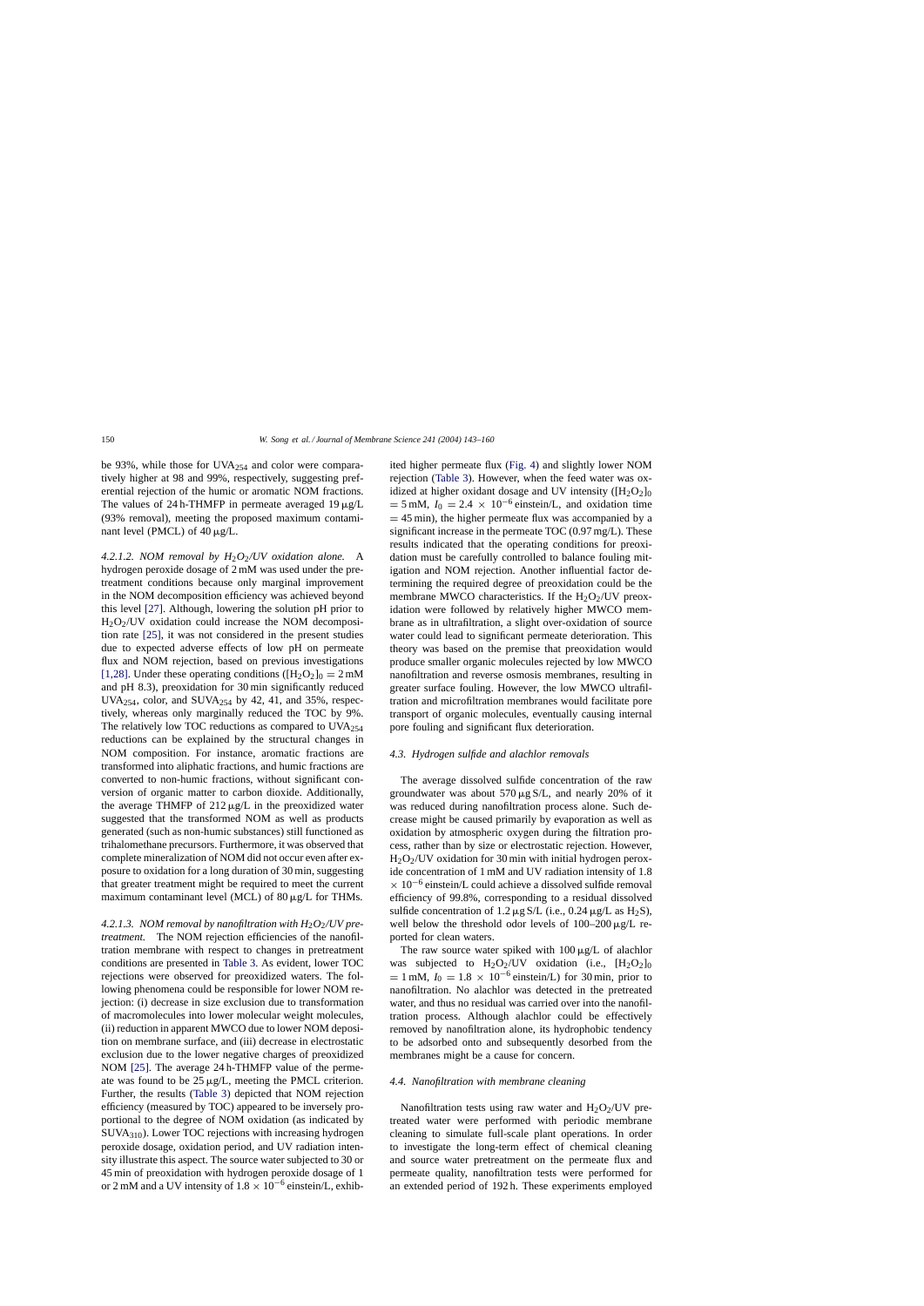be 93%, while those for UVA $_{254}$  and color were comparatively higher at 98 and 99%, respectively, suggesting preferential rejection of the humic or aromatic NOM fractions. The values of 24 h-THMFP in permeate averaged 19  $\mu$ g/L (93% removal), meeting the proposed maximum contaminant level (PMCL) of  $40 \mu g/L$ .

*4.2.1.2. NOM removal by H*2*O*2*/UV oxidation alone.* A hydrogen peroxide dosage of 2 mM was used under the pretreatment conditions because only marginal improvement in the NOM decomposition efficiency was achieved beyond this level [\[27\].](#page-17-0) Although, lowering the solution pH prior to  $H<sub>2</sub>O<sub>2</sub>/UV$  oxidation could increase the NOM decomposition rate [\[25\],](#page-17-0) it was not considered in the present studies due to expected adverse effects of low pH on permeate flux and NOM rejection, based on previous investigations [\[1,28\]. U](#page-17-0)nder these operating conditions ( $[H_2O_2]_0 = 2$  mM and pH 8.3), preoxidation for 30 min significantly reduced UVA<sub>254</sub>, color, and SUVA<sub>254</sub> by 42, 41, and 35%, respectively, whereas only marginally reduced the TOC by 9%. The relatively low TOC reductions as compared to  $UVA_{254}$ reductions can be explained by the structural changes in NOM composition. For instance, aromatic fractions are transformed into aliphatic fractions, and humic fractions are converted to non-humic fractions, without significant conversion of organic matter to carbon dioxide. Additionally, the average THMFP of  $212 \mu g/L$  in the preoxidized water suggested that the transformed NOM as well as products generated (such as non-humic substances) still functioned as trihalomethane precursors. Furthermore, it was observed that complete mineralization of NOM did not occur even after exposure to oxidation for a long duration of 30 min, suggesting that greater treatment might be required to meet the current maximum contaminant level (MCL) of  $80 \mu g/L$  for THMs.

4.2.1.3. *NOM removal by nanofiltration with H*<sub>2</sub>*O*<sub>2</sub>*/UV pretreatment.* The NOM rejection efficiencies of the nanofiltration membrane with respect to changes in pretreatment conditions are presented in [Table 3.](#page-6-0) As evident, lower TOC rejections were observed for preoxidized waters. The following phenomena could be responsible for lower NOM rejection: (i) decrease in size exclusion due to transformation of macromolecules into lower molecular weight molecules, (ii) reduction in apparent MWCO due to lower NOM deposition on membrane surface, and (iii) decrease in electrostatic exclusion due to the lower negative charges of preoxidized NOM [\[25\].](#page-17-0) The average 24 h-THMFP value of the permeate was found to be  $25 \mu g/L$ , meeting the PMCL criterion. Further, the results [\(Table 3\)](#page-6-0) depicted that NOM rejection efficiency (measured by TOC) appeared to be inversely proportional to the degree of NOM oxidation (as indicated by SUVA310). Lower TOC rejections with increasing hydrogen peroxide dosage, oxidation period, and UV radiation intensity illustrate this aspect. The source water subjected to 30 or 45 min of preoxidation with hydrogen peroxide dosage of 1 or 2 mM and a UV intensity of  $1.8 \times 10^{-6}$  einstein/L, exhibited higher permeate flux [\(Fig. 4\)](#page-6-0) and slightly lower NOM rejection ([Table 3\).](#page-6-0) However, when the feed water was oxidized at higher oxidant dosage and UV intensity  $([H_2O_2]_0$  $= 5$  mM,  $I_0 = 2.4 \times 10^{-6}$  einstein/L, and oxidation time  $= 45$  min), the higher permeate flux was accompanied by a significant increase in the permeate TOC (0.97 mg/L). These results indicated that the operating conditions for preoxidation must be carefully controlled to balance fouling mitigation and NOM rejection. Another influential factor determining the required degree of preoxidation could be the membrane MWCO characteristics. If the  $H_2O_2/UV$  preoxidation were followed by relatively higher MWCO membrane as in ultrafiltration, a slight over-oxidation of source water could lead to significant permeate deterioration. This theory was based on the premise that preoxidation would produce smaller organic molecules rejected by low MWCO nanofiltration and reverse osmosis membranes, resulting in greater surface fouling. However, the low MWCO ultrafiltration and microfiltration membranes would facilitate pore transport of organic molecules, eventually causing internal pore fouling and significant flux deterioration.

#### *4.3. Hydrogen sulfide and alachlor removals*

The average dissolved sulfide concentration of the raw groundwater was about  $570 \mu g S/L$ , and nearly 20% of it was reduced during nanofiltration process alone. Such decrease might be caused primarily by evaporation as well as oxidation by atmospheric oxygen during the filtration process, rather than by size or electrostatic rejection. However,  $H_2O_2$ /UV oxidation for 30 min with initial hydrogen peroxide concentration of 1 mM and UV radiation intensity of 1.8  $\times$  10<sup>-6</sup> einstein/L could achieve a dissolved sulfide removal efficiency of 99.8%, corresponding to a residual dissolved sulfide concentration of 1.2  $\mu$ g S/L (i.e., 0.24  $\mu$ g/L as H<sub>2</sub>S), well below the threshold odor levels of  $100-200 \mu g/L$  reported for clean waters.

The raw source water spiked with  $100 \mu g/L$  of alachlor was subjected to  $H_2O_2/UV$  oxidation (i.e.,  $[H_2O_2]_0$  $= 1$  mM,  $I_0 = 1.8 \times 10^{-6}$  einstein/L) for 30 min, prior to nanofiltration. No alachlor was detected in the pretreated water, and thus no residual was carried over into the nanofiltration process. Although alachlor could be effectively removed by nanofiltration alone, its hydrophobic tendency to be adsorbed onto and subsequently desorbed from the membranes might be a cause for concern.

# *4.4. Nanofiltration with membrane cleaning*

Nanofiltration tests using raw water and  $H_2O_2/UV$  pretreated water were performed with periodic membrane cleaning to simulate full-scale plant operations. In order to investigate the long-term effect of chemical cleaning and source water pretreatment on the permeate flux and permeate quality, nanofiltration tests were performed for an extended period of 192 h. These experiments employed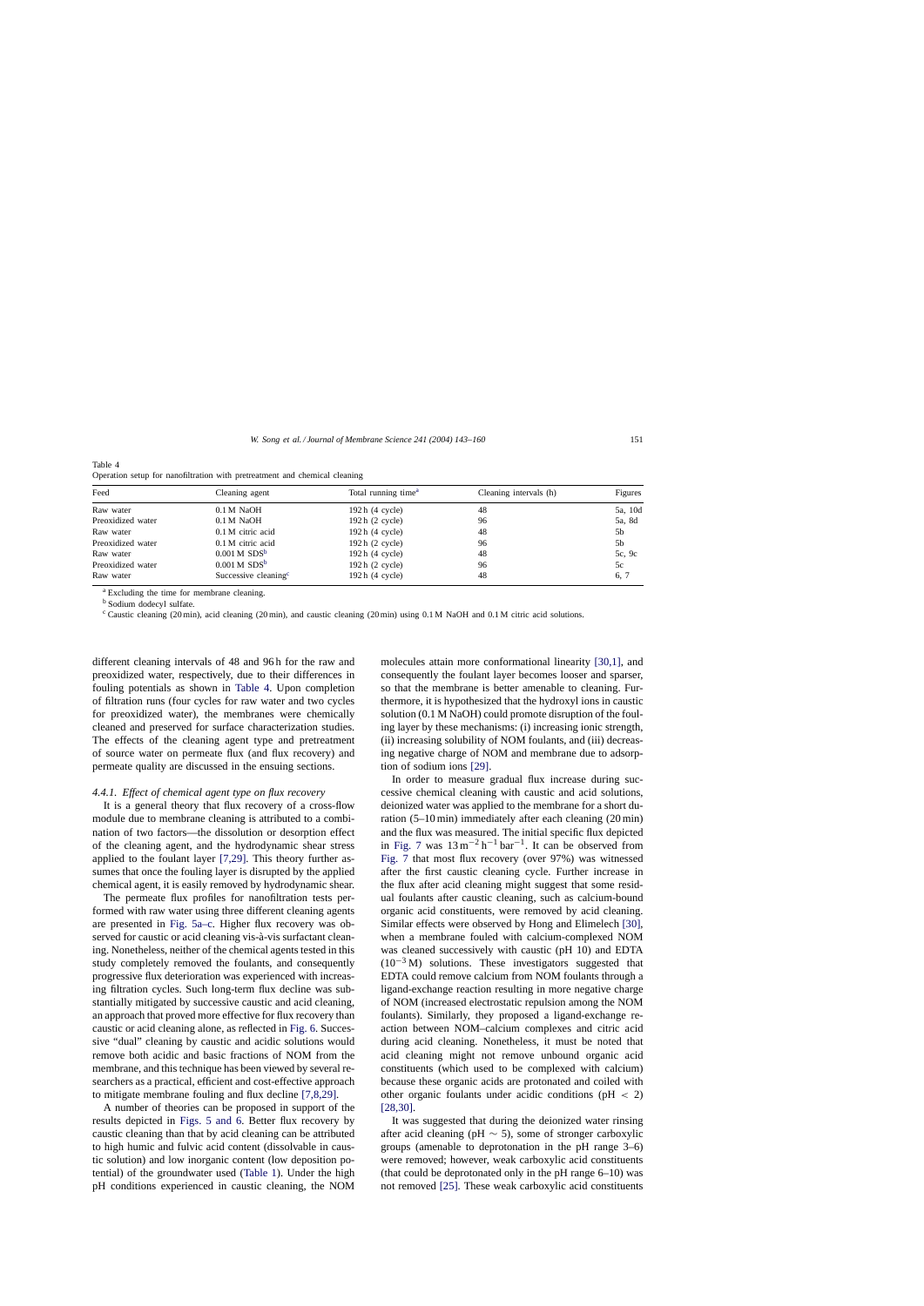| Table 4 |                                                                            |  |
|---------|----------------------------------------------------------------------------|--|
|         | Operation setup for nanofiltration with pretreatment and chemical cleaning |  |

| Feed              | Cleaning agent                   | Total running time <sup>a</sup> | Cleaning intervals (h) | Figures |
|-------------------|----------------------------------|---------------------------------|------------------------|---------|
| Raw water         | 0.1 M NaOH                       | 192h(4 cycle)                   | 48                     | 5a, 10d |
| Preoxidized water | $0.1 M$ NaOH                     | 192h(2 cycle)                   | 96                     | 5a, 8d  |
| Raw water         | $0.1 M$ citric acid              | 192h(4 cycle)                   | 48                     | 5b      |
| Preoxidized water | $0.1 M$ citric acid              | $192h(2$ cycle)                 | 96                     | 5b      |
| Raw water         | $0.001$ M SDS <sup>b</sup>       | 192h(4 cycle)                   | 48                     | 5c, 9c  |
| Preoxidized water | $0.001$ M SDS <sup>b</sup>       | 192h(2 cycle)                   | 96                     | 5c      |
| Raw water         | Successive cleaning <sup>c</sup> | 192h(4 cycle)                   | 48                     | 6, 7    |

<sup>a</sup> Excluding the time for membrane cleaning.

<sup>b</sup> Sodium dodecyl sulfate.

 $c$  Caustic cleaning (20 min), acid cleaning (20 min), and caustic cleaning (20 min) using 0.1 M NaOH and 0.1 M citric acid solutions.

different cleaning intervals of 48 and 96 h for the raw and preoxidized water, respectively, due to their differences in fouling potentials as shown in Table 4. Upon completion of filtration runs (four cycles for raw water and two cycles for preoxidized water), the membranes were chemically cleaned and preserved for surface characterization studies. The effects of the cleaning agent type and pretreatment of source water on permeate flux (and flux recovery) and permeate quality are discussed in the ensuing sections.

# *4.4.1. Effect of chemical agent type on flux recovery*

It is a general theory that flux recovery of a cross-flow module due to membrane cleaning is attributed to a combination of two factors—the dissolution or desorption effect of the cleaning agent, and the hydrodynamic shear stress applied to the foulant layer [\[7,29\].](#page-17-0) This theory further assumes that once the fouling layer is disrupted by the applied chemical agent, it is easily removed by hydrodynamic shear.

The permeate flux profiles for nanofiltration tests performed with raw water using three different cleaning agents are presented in [Fig. 5a–c.](#page-9-0) Higher flux recovery was observed for caustic or acid cleaning vis-à-vis surfactant cleaning. Nonetheless, neither of the chemical agents tested in this study completely removed the foulants, and consequently progressive flux deterioration was experienced with increasing filtration cycles. Such long-term flux decline was substantially mitigated by successive caustic and acid cleaning, an approach that proved more effective for flux recovery than caustic or acid cleaning alone, as reflected in [Fig. 6. S](#page-10-0)uccessive "dual" cleaning by caustic and acidic solutions would remove both acidic and basic fractions of NOM from the membrane, and this technique has been viewed by several researchers as a practical, efficient and cost-effective approach to mitigate membrane fouling and flux decline [\[7,8,29\].](#page-17-0)

A number of theories can be proposed in support of the results depicted in [Figs. 5 and 6.](#page-9-0) Better flux recovery by caustic cleaning than that by acid cleaning can be attributed to high humic and fulvic acid content (dissolvable in caustic solution) and low inorganic content (low deposition potential) of the groundwater used [\(Table 1\).](#page-3-0) Under the high pH conditions experienced in caustic cleaning, the NOM

molecules attain more conformational linearity [\[30,1\],](#page-17-0) and consequently the foulant layer becomes looser and sparser, so that the membrane is better amenable to cleaning. Furthermore, it is hypothesized that the hydroxyl ions in caustic solution (0.1 M NaOH) could promote disruption of the fouling layer by these mechanisms: (i) increasing ionic strength, (ii) increasing solubility of NOM foulants, and (iii) decreasing negative charge of NOM and membrane due to adsorption of sodium ions [\[29\].](#page-17-0)

In order to measure gradual flux increase during successive chemical cleaning with caustic and acid solutions, deionized water was applied to the membrane for a short duration (5–10 min) immediately after each cleaning (20 min) and the flux was measured. The initial specific flux depicted in [Fig. 7](#page-10-0) was  $13 \text{ m}^{-2} \text{ h}^{-1} \text{ bar}^{-1}$ . It can be observed from [Fig. 7](#page-10-0) that most flux recovery (over 97%) was witnessed after the first caustic cleaning cycle. Further increase in the flux after acid cleaning might suggest that some residual foulants after caustic cleaning, such as calcium-bound organic acid constituents, were removed by acid cleaning. Similar effects were observed by Hong and Elimelech [\[30\],](#page-17-0) when a membrane fouled with calcium-complexed NOM was cleaned successively with caustic (pH 10) and EDTA  $(10^{-3} M)$  solutions. These investigators suggested that EDTA could remove calcium from NOM foulants through a ligand-exchange reaction resulting in more negative charge of NOM (increased electrostatic repulsion among the NOM foulants). Similarly, they proposed a ligand-exchange reaction between NOM–calcium complexes and citric acid during acid cleaning. Nonetheless, it must be noted that acid cleaning might not remove unbound organic acid constituents (which used to be complexed with calcium) because these organic acids are protonated and coiled with other organic foulants under acidic conditions (pH < 2) [\[28,30\].](#page-17-0)

It was suggested that during the deionized water rinsing after acid cleaning (pH  $\sim$  5), some of stronger carboxylic groups (amenable to deprotonation in the pH range 3–6) were removed; however, weak carboxylic acid constituents (that could be deprotonated only in the pH range 6–10) was not removed [\[25\].](#page-17-0) These weak carboxylic acid constituents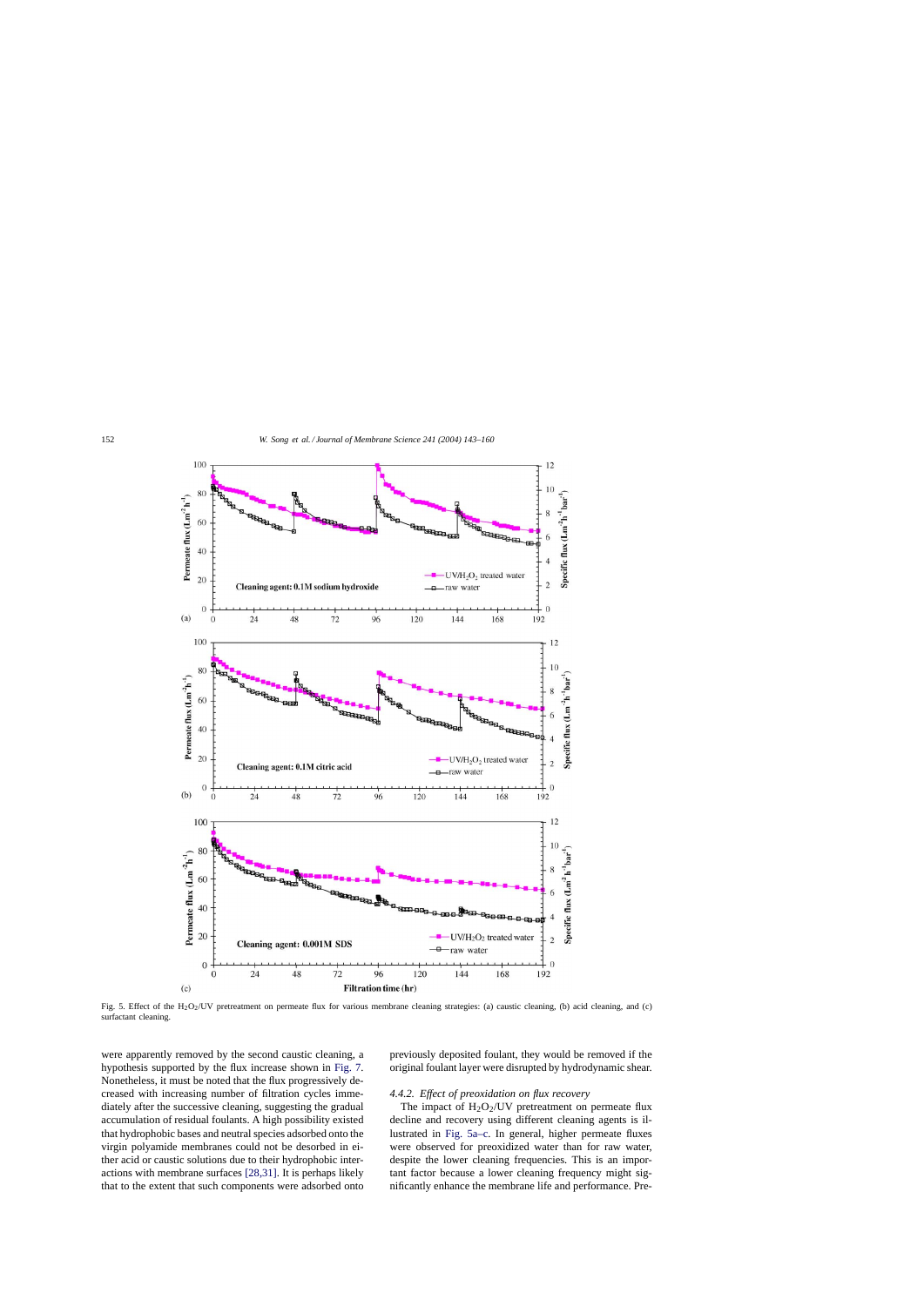<span id="page-9-0"></span>

Fig. 5. Effect of the H<sub>2</sub>O<sub>2</sub>/UV pretreatment on permeate flux for various membrane cleaning strategies: (a) caustic cleaning, (b) acid cleaning, and (c) surfactant cleaning.

were apparently removed by the second caustic cleaning, a hypothesis supported by the flux increase shown in [Fig. 7.](#page-10-0) Nonetheless, it must be noted that the flux progressively decreased with increasing number of filtration cycles immediately after the successive cleaning, suggesting the gradual accumulation of residual foulants. A high possibility existed that hydrophobic bases and neutral species adsorbed onto the virgin polyamide membranes could not be desorbed in either acid or caustic solutions due to their hydrophobic interactions with membrane surfaces [\[28,31\].](#page-17-0) It is perhaps likely that to the extent that such components were adsorbed onto

previously deposited foulant, they would be removed if the original foulant layer were disrupted by hydrodynamic shear.

# *4.4.2. Effect of preoxidation on flux recovery*

The impact of  $H_2O_2$ /UV pretreatment on permeate flux decline and recovery using different cleaning agents is illustrated in Fig. 5a–c. In general, higher permeate fluxes were observed for preoxidized water than for raw water, despite the lower cleaning frequencies. This is an important factor because a lower cleaning frequency might significantly enhance the membrane life and performance. Pre-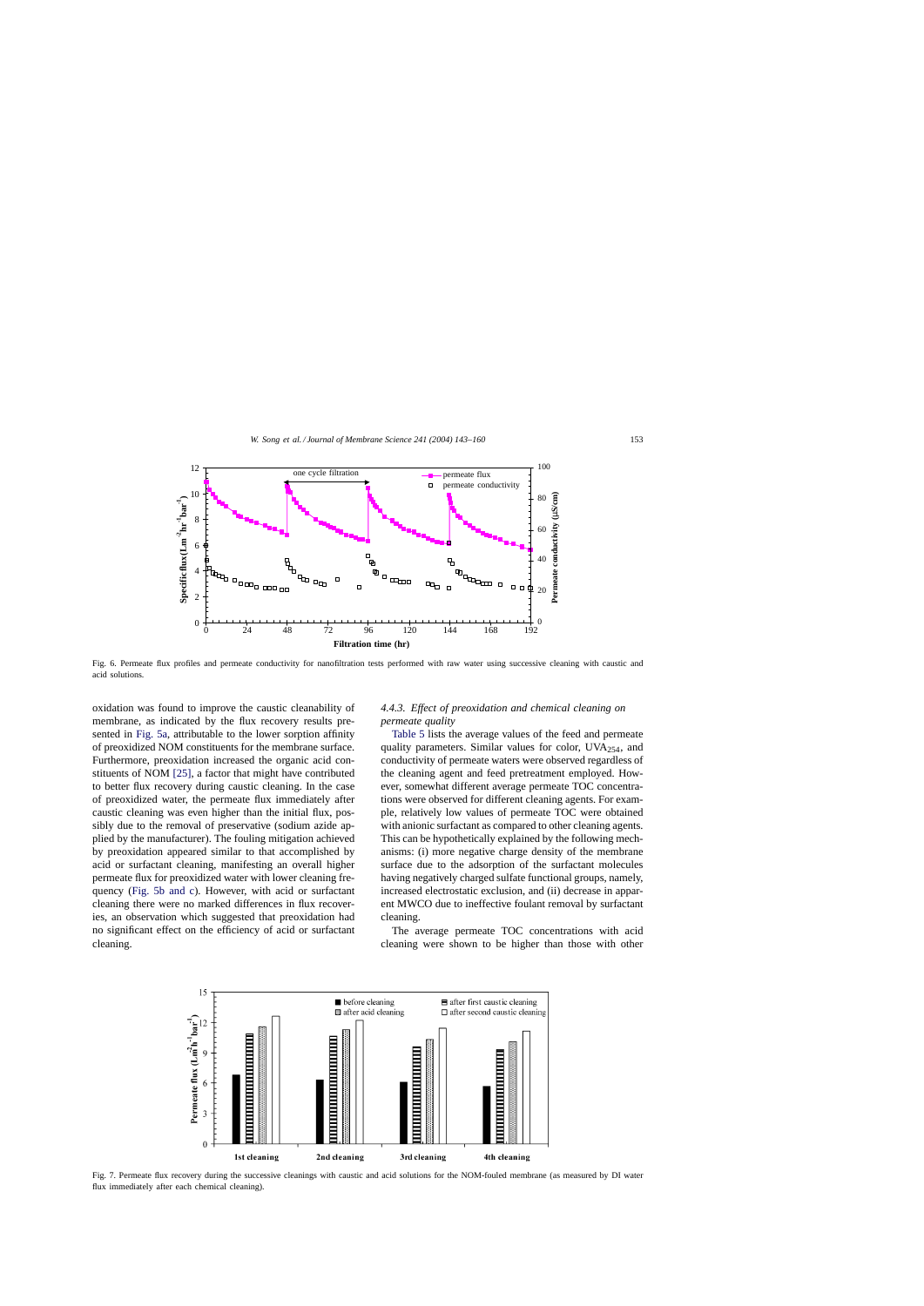<span id="page-10-0"></span>

Fig. 6. Permeate flux profiles and permeate conductivity for nanofiltration tests performed with raw water using successive cleaning with caustic and acid solutions.

oxidation was found to improve the caustic cleanability of membrane, as indicated by the flux recovery results presented in [Fig. 5a,](#page-9-0) attributable to the lower sorption affinity of preoxidized NOM constituents for the membrane surface. Furthermore, preoxidation increased the organic acid constituents of NOM [\[25\],](#page-17-0) a factor that might have contributed to better flux recovery during caustic cleaning. In the case of preoxidized water, the permeate flux immediately after caustic cleaning was even higher than the initial flux, possibly due to the removal of preservative (sodium azide applied by the manufacturer). The fouling mitigation achieved by preoxidation appeared similar to that accomplished by acid or surfactant cleaning, manifesting an overall higher permeate flux for preoxidized water with lower cleaning frequency [\(Fig. 5b and c\)](#page-9-0). However, with acid or surfactant cleaning there were no marked differences in flux recoveries, an observation which suggested that preoxidation had no significant effect on the efficiency of acid or surfactant cleaning.

# *4.4.3. Effect of preoxidation and chemical cleaning on permeate quality*

[Table 5](#page-11-0) lists the average values of the feed and permeate quality parameters. Similar values for color, UVA254, and conductivity of permeate waters were observed regardless of the cleaning agent and feed pretreatment employed. However, somewhat different average permeate TOC concentrations were observed for different cleaning agents. For example, relatively low values of permeate TOC were obtained with anionic surfactant as compared to other cleaning agents. This can be hypothetically explained by the following mechanisms: (i) more negative charge density of the membrane surface due to the adsorption of the surfactant molecules having negatively charged sulfate functional groups, namely, increased electrostatic exclusion, and (ii) decrease in apparent MWCO due to ineffective foulant removal by surfactant cleaning.

The average permeate TOC concentrations with acid cleaning were shown to be higher than those with other



Fig. 7. Permeate flux recovery during the successive cleanings with caustic and acid solutions for the NOM-fouled membrane (as measured by DI water flux immediately after each chemical cleaning).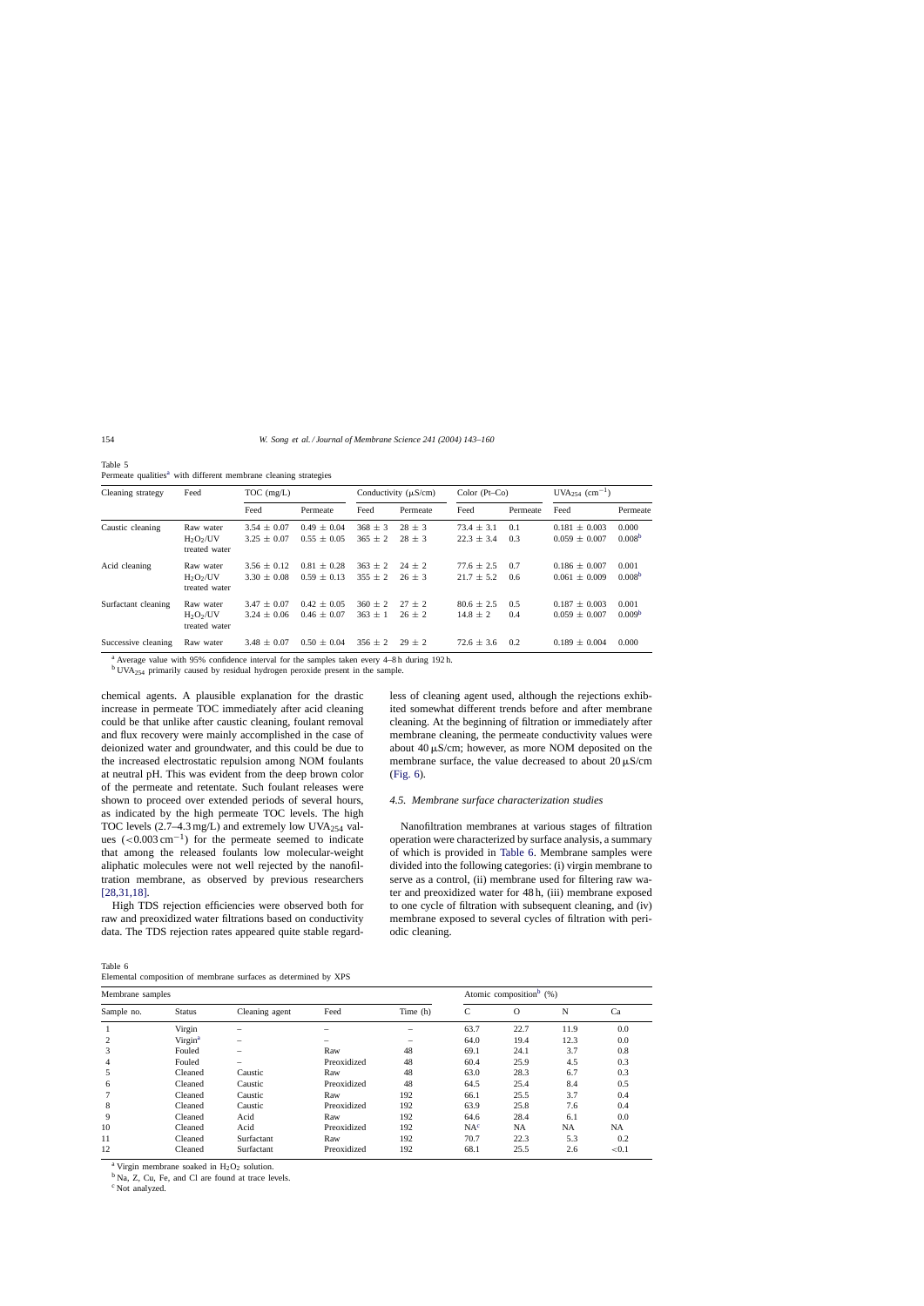<span id="page-11-0"></span>Table 5 Permeate qualities<sup>a</sup> with different membrane cleaning strategies

| Cleaning strategy<br>Caustic cleaning | Feed                                      | $TOC$ (mg/L)                       |                                    |                        | Conductivity $(\mu S/cm)$ | Color $(Pt-Co)$                  | $UVA_{254}$ (cm <sup>-1</sup> ) |                                        |                             |
|---------------------------------------|-------------------------------------------|------------------------------------|------------------------------------|------------------------|---------------------------|----------------------------------|---------------------------------|----------------------------------------|-----------------------------|
|                                       |                                           | Feed                               | Permeate                           | Feed                   | Permeate                  | Feed                             | Permeate                        | Feed                                   | Permeate                    |
|                                       | Raw water<br>$H_2O_2/UV$<br>treated water | $3.54 \pm 0.07$<br>$3.25 \pm 0.07$ | $0.49 \pm 0.04$<br>$0.55 \pm 0.05$ | $368 + 3$<br>$365 + 2$ | $28 + 3$<br>$28 \pm 3$    | $73.4 \pm 3.1$<br>$22.3 \pm 3.4$ | 0.1<br>0.3                      | $0.181 + 0.003$<br>$0.059 \pm 0.007$   | 0.000<br>0.008 <sup>b</sup> |
| Acid cleaning                         | Raw water<br>$H_2O_2/UV$<br>treated water | $3.56 \pm 0.12$<br>$3.30 \pm 0.08$ | $0.81 \pm 0.28$<br>$0.59 \pm 0.13$ | $363 + 2$<br>$355 + 2$ | $24 + 2$<br>$26 \pm 3$    | $77.6 \pm 2.5$<br>$21.7 \pm 5.2$ | 0.7<br>0.6                      | $0.186 \pm 0.007$<br>$0.061 \pm 0.009$ | 0.001<br>0.008 <sup>b</sup> |
| Surfactant cleaning                   | Raw water<br>$H_2O_2/UV$<br>treated water | $3.47 \pm 0.07$<br>$3.24 \pm 0.06$ | $0.42 \pm 0.05$<br>$0.46 \pm 0.07$ | $360 + 2$<br>$363 + 1$ | $27 + 2$<br>$26 + 2$      | $80.6 \pm 2.5$<br>$14.8 \pm 2$   | 0.5<br>0.4                      | $0.187 \pm 0.003$<br>$0.059 \pm 0.007$ | 0.001<br>0.009 <sup>b</sup> |
| Successive cleaning                   | Raw water                                 | $3.48 \pm 0.07$                    | $0.50 \pm 0.04$                    | $356 + 2$              | $29 + 2$                  | $72.6 \pm 3.6$                   | 0.2                             | $0.189 \pm 0.004$                      | 0.000                       |

<sup>a</sup> Average value with 95% confidence interval for the samples taken every 4–8 h during 192 h.

<sup>b</sup> UVA254 primarily caused by residual hydrogen peroxide present in the sample.

chemical agents. A plausible explanation for the drastic increase in permeate TOC immediately after acid cleaning could be that unlike after caustic cleaning, foulant removal and flux recovery were mainly accomplished in the case of deionized water and groundwater, and this could be due to the increased electrostatic repulsion among NOM foulants at neutral pH. This was evident from the deep brown color of the permeate and retentate. Such foulant releases were shown to proceed over extended periods of several hours, as indicated by the high permeate TOC levels. The high TOC levels  $(2.7-4.3 \,\text{mg/L})$  and extremely low UVA<sub>254</sub> values  $(<0.003 \text{ cm}^{-1})$  for the permeate seemed to indicate that among the released foulants low molecular-weight aliphatic molecules were not well rejected by the nanofiltration membrane, as observed by previous researchers [\[28,31,18\].](#page-17-0)

High TDS rejection efficiencies were observed both for raw and preoxidized water filtrations based on conductivity data. The TDS rejection rates appeared quite stable regard-

Table 6 Elemental composition of membrane surfaces as determined by XPS

less of cleaning agent used, although the rejections exhibited somewhat different trends before and after membrane cleaning. At the beginning of filtration or immediately after membrane cleaning, the permeate conductivity values were about 40  $\mu$ S/cm; however, as more NOM deposited on the membrane surface, the value decreased to about  $20 \mu S/cm$ ([Fig. 6\).](#page-10-0)

#### *4.5. Membrane surface characterization studies*

Nanofiltration membranes at various stages of filtration operation were characterized by surface analysis, a summary of which is provided in Table 6. Membrane samples were divided into the following categories: (i) virgin membrane to serve as a control, (ii) membrane used for filtering raw water and preoxidized water for 48 h, (iii) membrane exposed to one cycle of filtration with subsequent cleaning, and (iv) membrane exposed to several cycles of filtration with periodic cleaning.

| Membrane samples |                     |                          |             |          |                 | Atomic composition <sup>b</sup> (%) |      |          |
|------------------|---------------------|--------------------------|-------------|----------|-----------------|-------------------------------------|------|----------|
| Sample no.       | <b>Status</b>       | Cleaning agent           | Feed        | Time (h) | $\mathbf C$     | $\circ$                             | N    | Ca       |
|                  | Virgin              |                          |             |          | 63.7            | 22.7                                | 11.9 | 0.0      |
|                  | Virgin <sup>a</sup> | $\overline{\phantom{m}}$ |             |          | 64.0            | 19.4                                | 12.3 | 0.0      |
| 3                | Fouled              |                          | Raw         | 48       | 69.1            | 24.1                                | 3.7  | 0.8      |
| 4                | Fouled              |                          | Preoxidized | 48       | 60.4            | 25.9                                | 4.5  | 0.3      |
| 5                | Cleaned             | Caustic                  | Raw         | 48       | 63.0            | 28.3                                | 6.7  | 0.3      |
| 6                | Cleaned             | Caustic                  | Preoxidized | 48       | 64.5            | 25.4                                | 8.4  | 0.5      |
|                  | Cleaned             | Caustic                  | Raw         | 192      | 66.1            | 25.5                                | 3.7  | 0.4      |
| 8                | Cleaned             | Caustic                  | Preoxidized | 192      | 63.9            | 25.8                                | 7.6  | 0.4      |
| 9                | Cleaned             | Acid                     | Raw         | 192      | 64.6            | 28.4                                | 6.1  | 0.0      |
| 10               | Cleaned             | Acid                     | Preoxidized | 192      | NA <sup>c</sup> | <b>NA</b>                           | NA   | NA.      |
| 11               | Cleaned             | Surfactant               | Raw         | 192      | 70.7            | 22.3                                | 5.3  | 0.2      |
| 12               | Cleaned             | Surfactant               | Preoxidized | 192      | 68.1            | 25.5                                | 2.6  | ${<}0.1$ |

<sup>a</sup> Virgin membrane soaked in  $H_2O_2$  solution.<br><sup>b</sup> Na, Z, Cu, Fe, and Cl are found at trace levels.

<sup>c</sup> Not analyzed.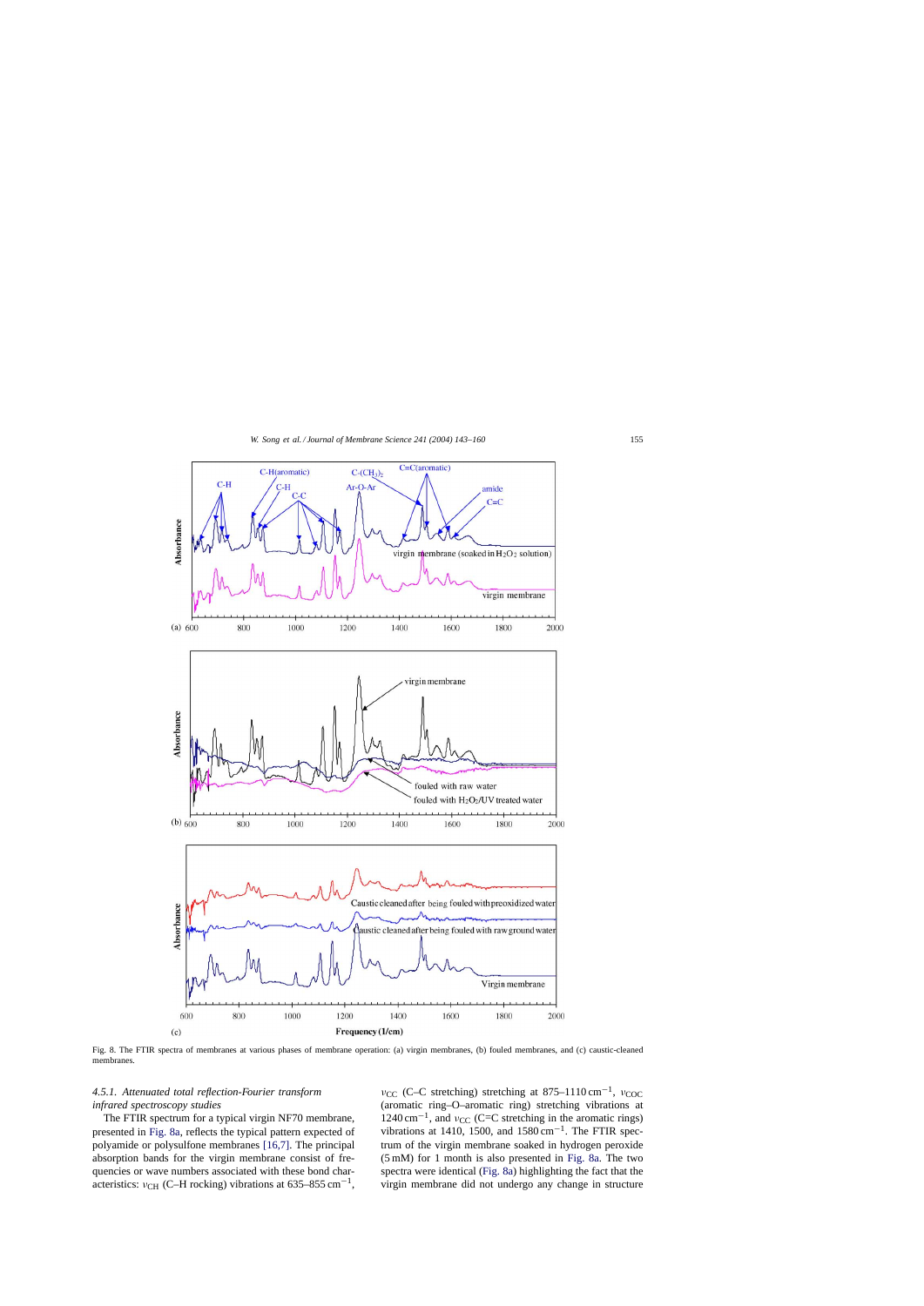<span id="page-12-0"></span>

Fig. 8. The FTIR spectra of membranes at various phases of membrane operation: (a) virgin membranes, (b) fouled membranes, and (c) caustic-cleaned membranes.

# *4.5.1. Attenuated total reflection-Fourier transform infrared spectroscopy studies*

The FTIR spectrum for a typical virgin NF70 membrane, presented in Fig. 8a, reflects the typical pattern expected of polyamide or polysulfone membranes [\[16,7\].](#page-17-0) The principal absorption bands for the virgin membrane consist of frequencies or wave numbers associated with these bond characteristics:  $v_{\text{CH}}$  (C–H rocking) vibrations at 635–855 cm<sup>-1</sup>,

 $ν_{CC}$  (C–C stretching) stretching at 875–1110 cm<sup>-1</sup>,  $ν_{COC}$ (aromatic ring–O–aromatic ring) stretching vibrations at  $1240 \text{ cm}^{-1}$ , and  $v_{\text{CC}}$  (C=C stretching in the aromatic rings) vibrations at 1410, 1500, and  $1580 \text{ cm}^{-1}$ . The FTIR spectrum of the virgin membrane soaked in hydrogen peroxide (5 mM) for 1 month is also presented in Fig. 8a. The two spectra were identical (Fig. 8a) highlighting the fact that the virgin membrane did not undergo any change in structure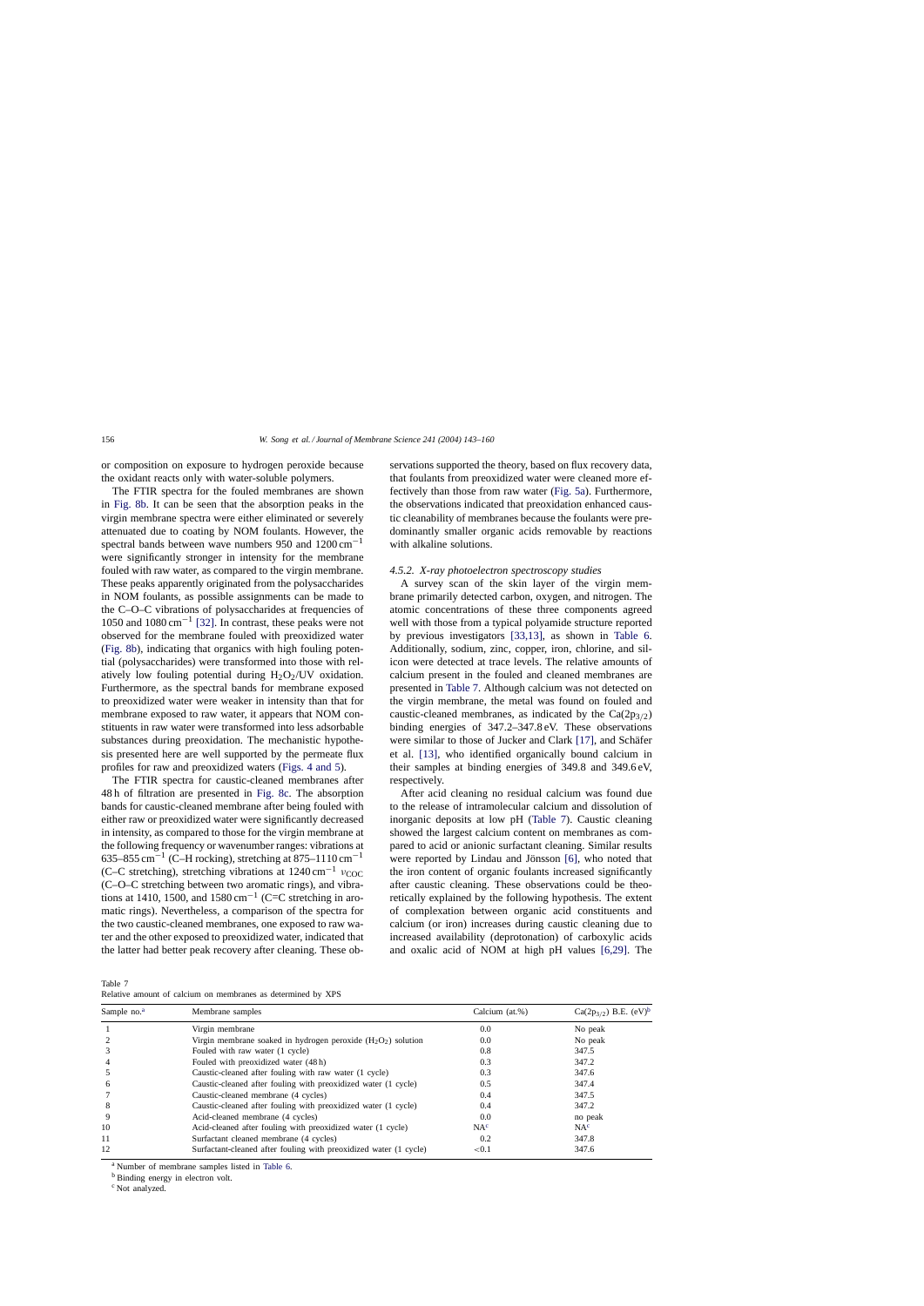<span id="page-13-0"></span>or composition on exposure to hydrogen peroxide because the oxidant reacts only with water-soluble polymers.

The FTIR spectra for the fouled membranes are shown in [Fig. 8b.](#page-12-0) It can be seen that the absorption peaks in the virgin membrane spectra were either eliminated or severely attenuated due to coating by NOM foulants. However, the spectral bands between wave numbers 950 and 1200 cm−<sup>1</sup> were significantly stronger in intensity for the membrane fouled with raw water, as compared to the virgin membrane. These peaks apparently originated from the polysaccharides in NOM foulants, as possible assignments can be made to the C–O–C vibrations of polysaccharides at frequencies of 1050 and 1080 cm−<sup>1</sup> [\[32\].](#page-17-0) In contrast, these peaks were not observed for the membrane fouled with preoxidized water ([Fig. 8b\),](#page-12-0) indicating that organics with high fouling potential (polysaccharides) were transformed into those with relatively low fouling potential during  $H_2O_2$ /UV oxidation. Furthermore, as the spectral bands for membrane exposed to preoxidized water were weaker in intensity than that for membrane exposed to raw water, it appears that NOM constituents in raw water were transformed into less adsorbable substances during preoxidation. The mechanistic hypothesis presented here are well supported by the permeate flux profiles for raw and preoxidized waters [\(Figs. 4 and 5\).](#page-6-0)

The FTIR spectra for caustic-cleaned membranes after 48 h of filtration are presented in [Fig. 8c.](#page-12-0) The absorption bands for caustic-cleaned membrane after being fouled with either raw or preoxidized water were significantly decreased in intensity, as compared to those for the virgin membrane at the following frequency or wavenumber ranges: vibrations at 635–855 cm<sup>-1</sup> (C–H rocking), stretching at 875–1110 cm<sup>-1</sup> (C–C stretching), stretching vibrations at  $1240 \text{ cm}^{-1}$  v<sub>COC</sub> (C–O–C stretching between two aromatic rings), and vibrations at 1410, 1500, and 1580 cm<sup>-1</sup> (C=C stretching in aromatic rings). Nevertheless, a comparison of the spectra for the two caustic-cleaned membranes, one exposed to raw water and the other exposed to preoxidized water, indicated that the latter had better peak recovery after cleaning. These ob-

Table 7

Relative amount of calcium on membranes as determined by XPS

servations supported the theory, based on flux recovery data, that foulants from preoxidized water were cleaned more effectively than those from raw water [\(Fig. 5a\).](#page-9-0) Furthermore, the observations indicated that preoxidation enhanced caustic cleanability of membranes because the foulants were predominantly smaller organic acids removable by reactions with alkaline solutions.

#### *4.5.2. X-ray photoelectron spectroscopy studies*

A survey scan of the skin layer of the virgin membrane primarily detected carbon, oxygen, and nitrogen. The atomic concentrations of these three components agreed well with those from a typical polyamide structure reported by previous investigators [\[33,13\],](#page-17-0) as shown in [Table 6.](#page-11-0) Additionally, sodium, zinc, copper, iron, chlorine, and silicon were detected at trace levels. The relative amounts of calcium present in the fouled and cleaned membranes are presented in Table 7. Although calcium was not detected on the virgin membrane, the metal was found on fouled and caustic-cleaned membranes, as indicated by the  $Ca(2p_{3/2})$ binding energies of 347.2–347.8 eV. These observations were similar to those of Jucker and Clark [\[17\], a](#page-17-0)nd Schäfer et al. [\[13\],](#page-17-0) who identified organically bound calcium in their samples at binding energies of 349.8 and 349.6 eV, respectively.

After acid cleaning no residual calcium was found due to the release of intramolecular calcium and dissolution of inorganic deposits at low pH (Table 7). Caustic cleaning showed the largest calcium content on membranes as compared to acid or anionic surfactant cleaning. Similar results were reported by Lindau and Jönsson [\[6\],](#page-17-0) who noted that the iron content of organic foulants increased significantly after caustic cleaning. These observations could be theoretically explained by the following hypothesis. The extent of complexation between organic acid constituents and calcium (or iron) increases during caustic cleaning due to increased availability (deprotonation) of carboxylic acids and oxalic acid of NOM at high pH values [\[6,29\].](#page-17-0) The

| Sample no. <sup>a</sup> | Membrane samples                                                  | Calcium (at.%)  | Ca(2p <sub>3/2</sub> ) B.E. $(eV)^b$ |
|-------------------------|-------------------------------------------------------------------|-----------------|--------------------------------------|
|                         | Virgin membrane                                                   | 0.0             | No peak                              |
|                         | Virgin membrane soaked in hydrogen peroxide $(H_2O_2)$ solution   | 0.0             | No peak                              |
|                         | Fouled with raw water (1 cycle)                                   | 0.8             | 347.5                                |
|                         | Fouled with preoxidized water (48h)                               | 0.3             | 347.2                                |
|                         | Caustic-cleaned after fouling with raw water (1 cycle)            | 0.3             | 347.6                                |
| <sub>0</sub>            | Caustic-cleaned after fouling with preoxidized water (1 cycle)    | 0.5             | 347.4                                |
|                         | Caustic-cleaned membrane (4 cycles)                               | 0.4             | 347.5                                |
| 8                       | Caustic-cleaned after fouling with preoxidized water (1 cycle)    | 0.4             | 347.2                                |
| 9                       | Acid-cleaned membrane (4 cycles)                                  | 0.0             | no peak                              |
| 10                      | Acid-cleaned after fouling with preoxidized water (1 cycle)       | NA <sup>c</sup> | NA <sup>c</sup>                      |
| 11                      | Surfactant cleaned membrane (4 cycles)                            | 0.2             | 347.8                                |
| 12                      | Surfactant-cleaned after fouling with preoxidized water (1 cycle) | ${<}0.1$        | 347.6                                |

<sup>a</sup> Number of membrane samples listed in [Table 6.](#page-11-0)

<sup>b</sup> Binding energy in electron volt.

<sup>c</sup> Not analyzed.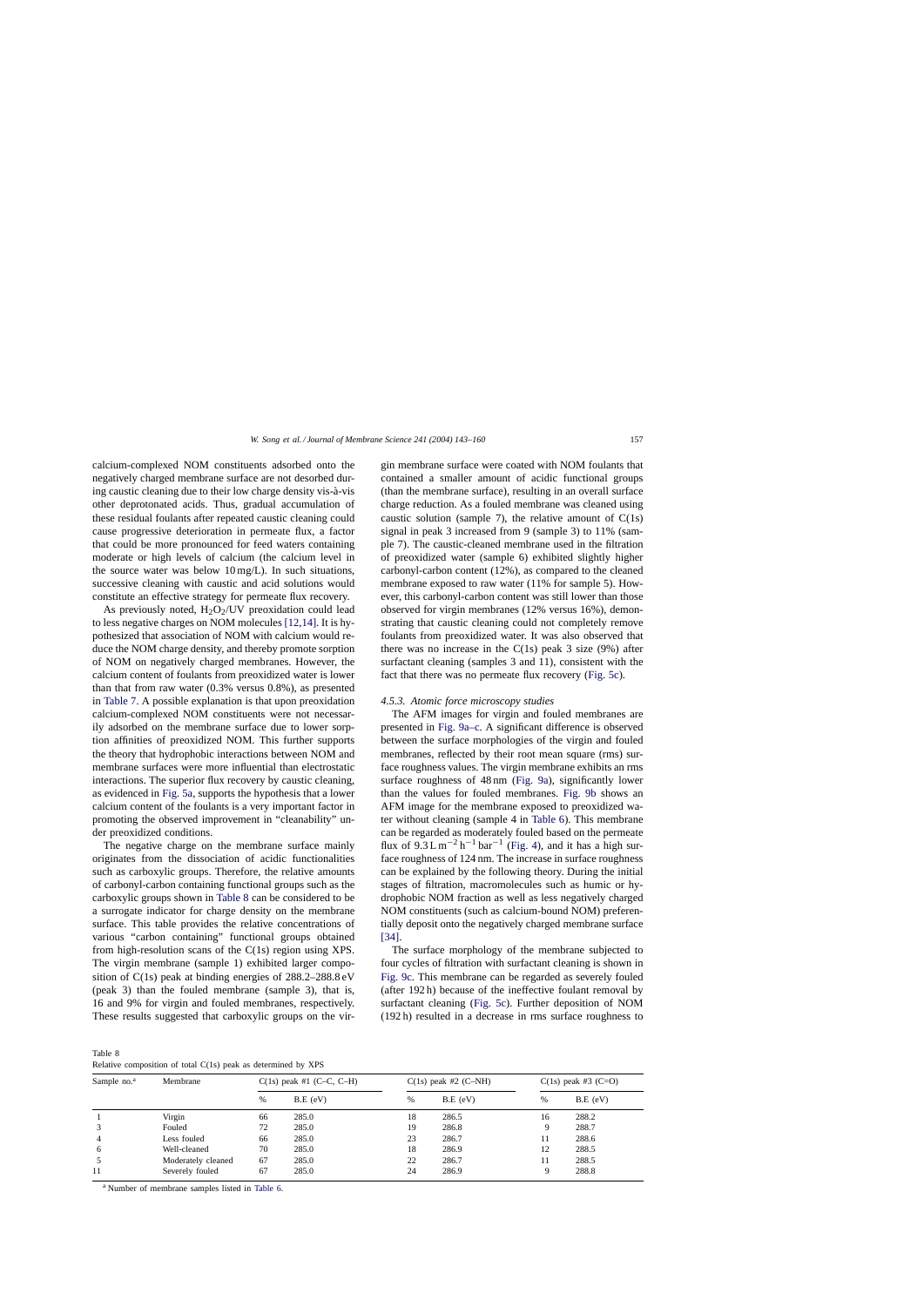calcium-complexed NOM constituents adsorbed onto the negatively charged membrane surface are not desorbed during caustic cleaning due to their low charge density vis-à-vis other deprotonated acids. Thus, gradual accumulation of these residual foulants after repeated caustic cleaning could cause progressive deterioration in permeate flux, a factor that could be more pronounced for feed waters containing moderate or high levels of calcium (the calcium level in the source water was below 10 mg/L). In such situations, successive cleaning with caustic and acid solutions would constitute an effective strategy for permeate flux recovery.

As previously noted,  $H_2O_2/UV$  preoxidation could lead to less negative charges on NOM molecules [\[12,14\].](#page-17-0) It is hypothesized that association of NOM with calcium would reduce the NOM charge density, and thereby promote sorption of NOM on negatively charged membranes. However, the calcium content of foulants from preoxidized water is lower than that from raw water (0.3% versus 0.8%), as presented in [Table 7. A](#page-13-0) possible explanation is that upon preoxidation calcium-complexed NOM constituents were not necessarily adsorbed on the membrane surface due to lower sorption affinities of preoxidized NOM. This further supports the theory that hydrophobic interactions between NOM and membrane surfaces were more influential than electrostatic interactions. The superior flux recovery by caustic cleaning, as evidenced in [Fig. 5a, s](#page-9-0)upports the hypothesis that a lower calcium content of the foulants is a very important factor in promoting the observed improvement in "cleanability" under preoxidized conditions.

The negative charge on the membrane surface mainly originates from the dissociation of acidic functionalities such as carboxylic groups. Therefore, the relative amounts of carbonyl-carbon containing functional groups such as the carboxylic groups shown in Table 8 can be considered to be a surrogate indicator for charge density on the membrane surface. This table provides the relative concentrations of various "carbon containing" functional groups obtained from high-resolution scans of the C(1s) region using XPS. The virgin membrane (sample 1) exhibited larger composition of C(1s) peak at binding energies of 288.2–288.8 eV (peak 3) than the fouled membrane (sample 3), that is, 16 and 9% for virgin and fouled membranes, respectively. These results suggested that carboxylic groups on the virgin membrane surface were coated with NOM foulants that contained a smaller amount of acidic functional groups (than the membrane surface), resulting in an overall surface charge reduction. As a fouled membrane was cleaned using caustic solution (sample 7), the relative amount of  $C(1s)$ signal in peak 3 increased from 9 (sample 3) to 11% (sample 7). The caustic-cleaned membrane used in the filtration of preoxidized water (sample 6) exhibited slightly higher carbonyl-carbon content (12%), as compared to the cleaned membrane exposed to raw water (11% for sample 5). However, this carbonyl-carbon content was still lower than those observed for virgin membranes (12% versus 16%), demonstrating that caustic cleaning could not completely remove foulants from preoxidized water. It was also observed that there was no increase in the  $C(1s)$  peak 3 size (9%) after surfactant cleaning (samples 3 and 11), consistent with the fact that there was no permeate flux recovery [\(Fig. 5c\).](#page-9-0)

#### *4.5.3. Atomic force microscopy studies*

The AFM images for virgin and fouled membranes are presented in [Fig. 9a–c.](#page-15-0) A significant difference is observed between the surface morphologies of the virgin and fouled membranes, reflected by their root mean square (rms) surface roughness values. The virgin membrane exhibits an rms surface roughness of 48 nm [\(Fig. 9a\)](#page-15-0), significantly lower than the values for fouled membranes. [Fig. 9b](#page-15-0) shows an AFM image for the membrane exposed to preoxidized water without cleaning (sample 4 in [Table 6\).](#page-11-0) This membrane can be regarded as moderately fouled based on the permeate flux of  $9.3 \text{ L m}^{-2} \text{ h}^{-1} \text{ bar}^{-1}$  ([Fig. 4\),](#page-6-0) and it has a high surface roughness of 124 nm. The increase in surface roughness can be explained by the following theory. During the initial stages of filtration, macromolecules such as humic or hydrophobic NOM fraction as well as less negatively charged NOM constituents (such as calcium-bound NOM) preferentially deposit onto the negatively charged membrane surface [\[34\].](#page-17-0)

The surface morphology of the membrane subjected to four cycles of filtration with surfactant cleaning is shown in [Fig. 9c.](#page-15-0) This membrane can be regarded as severely fouled (after 192 h) because of the ineffective foulant removal by surfactant cleaning [\(Fig. 5c\).](#page-9-0) Further deposition of NOM (192 h) resulted in a decrease in rms surface roughness to

Table 8

Relative composition of total C(1s) peak as determined by XPS

| Sample no. <sup>a</sup> | Membrane           | $C(1s)$ peak #1 (C–C, C–H) |            | $C(1s)$ peak #2 (C-NH) |            | $C(1s)$ peak #3 (C=O) |            |
|-------------------------|--------------------|----------------------------|------------|------------------------|------------|-----------------------|------------|
|                         |                    | %                          | $B.E$ (eV) | %                      | $B.E$ (eV) | $\%$                  | $B.E$ (eV) |
|                         | Virgin             | 66                         | 285.0      | 18                     | 286.5      | 16                    | 288.2      |
| 3                       | Fouled             | 72                         | 285.0      | 19                     | 286.8      | 9                     | 288.7      |
| $\overline{4}$          | Less fouled        | 66                         | 285.0      | 23                     | 286.7      | 11                    | 288.6      |
| 6                       | Well-cleaned       | 70                         | 285.0      | 18                     | 286.9      | 12                    | 288.5      |
| 5                       | Moderately cleaned | 67                         | 285.0      | 22                     | 286.7      | 11                    | 288.5      |
| 11                      | Severely fouled    | 67                         | 285.0      | 24                     | 286.9      | 9                     | 288.8      |

<sup>a</sup> Number of membrane samples listed in [Table 6.](#page-11-0)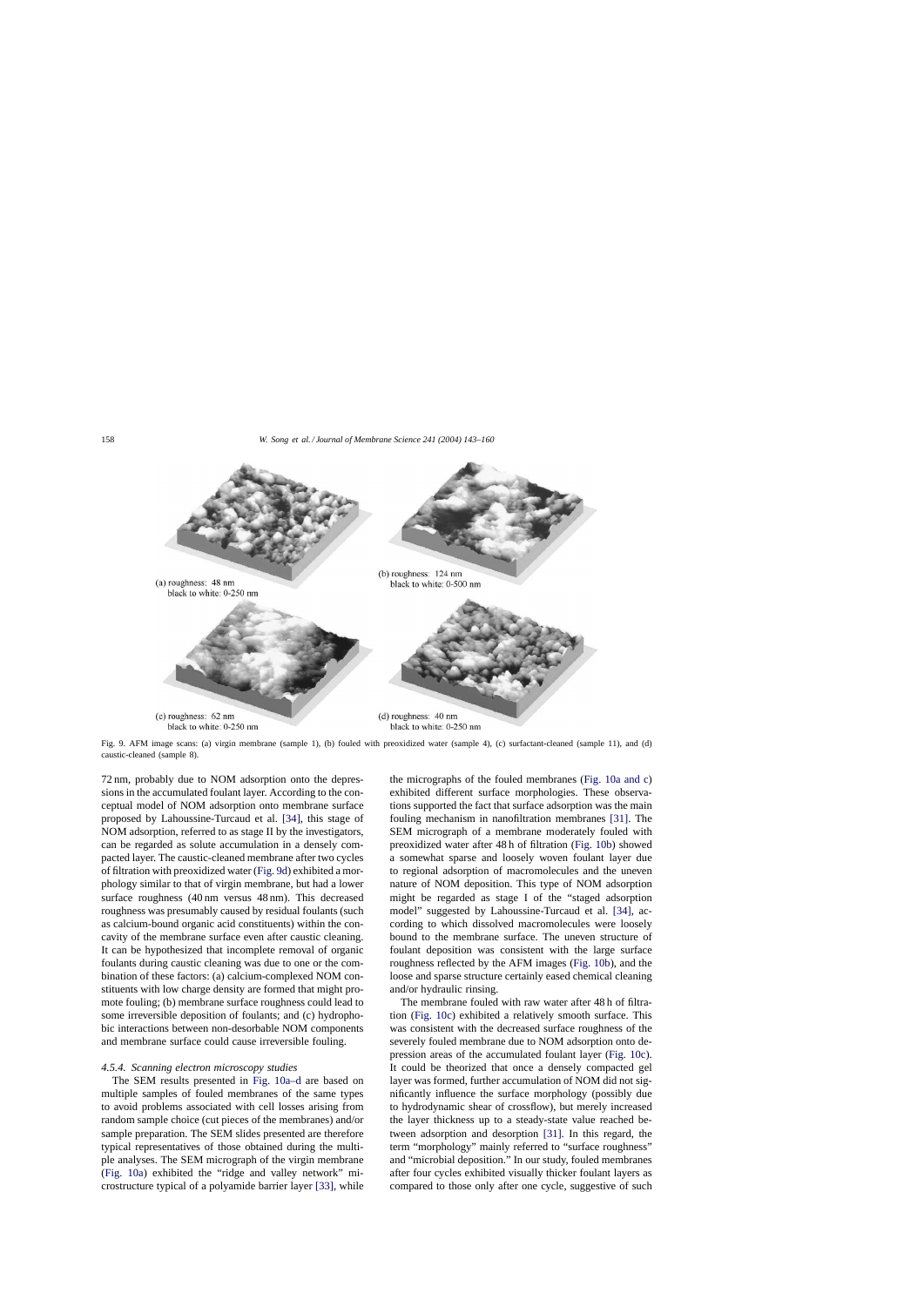<span id="page-15-0"></span>

Fig. 9. AFM image scans: (a) virgin membrane (sample 1), (b) fouled with preoxidized water (sample 4), (c) surfactant-cleaned (sample 11), and (d) caustic-cleaned (sample 8).

72 nm, probably due to NOM adsorption onto the depressions in the accumulated foulant layer. According to the conceptual model of NOM adsorption onto membrane surface proposed by Lahoussine-Turcaud et al. [\[34\],](#page-17-0) this stage of NOM adsorption, referred to as stage II by the investigators, can be regarded as solute accumulation in a densely compacted layer. The caustic-cleaned membrane after two cycles of filtration with preoxidized water (Fig. 9d) exhibited a morphology similar to that of virgin membrane, but had a lower surface roughness (40 nm versus 48 nm). This decreased roughness was presumably caused by residual foulants (such as calcium-bound organic acid constituents) within the concavity of the membrane surface even after caustic cleaning. It can be hypothesized that incomplete removal of organic foulants during caustic cleaning was due to one or the combination of these factors: (a) calcium-complexed NOM constituents with low charge density are formed that might promote fouling; (b) membrane surface roughness could lead to some irreversible deposition of foulants; and (c) hydrophobic interactions between non-desorbable NOM components and membrane surface could cause irreversible fouling.

#### *4.5.4. Scanning electron microscopy studies*

The SEM results presented in [Fig. 10a–d](#page-16-0) are based on multiple samples of fouled membranes of the same types to avoid problems associated with cell losses arising from random sample choice (cut pieces of the membranes) and/or sample preparation. The SEM slides presented are therefore typical representatives of those obtained during the multiple analyses. The SEM micrograph of the virgin membrane ([Fig. 10a\)](#page-16-0) exhibited the "ridge and valley network" microstructure typical of a polyamide barrier layer [\[33\],](#page-17-0) while

the micrographs of the fouled membranes [\(Fig. 10a and c\)](#page-16-0) exhibited different surface morphologies. These observations supported the fact that surface adsorption was the main fouling mechanism in nanofiltration membranes [\[31\].](#page-17-0) The SEM micrograph of a membrane moderately fouled with preoxidized water after 48 h of filtration [\(Fig. 10b\)](#page-16-0) showed a somewhat sparse and loosely woven foulant layer due to regional adsorption of macromolecules and the uneven nature of NOM deposition. This type of NOM adsorption might be regarded as stage I of the "staged adsorption model" suggested by Lahoussine-Turcaud et al. [\[34\],](#page-17-0) according to which dissolved macromolecules were loosely bound to the membrane surface. The uneven structure of foulant deposition was consistent with the large surface roughness reflected by the AFM images ([Fig. 10b\),](#page-16-0) and the loose and sparse structure certainly eased chemical cleaning and/or hydraulic rinsing.

The membrane fouled with raw water after 48 h of filtration [\(Fig. 10c\)](#page-16-0) exhibited a relatively smooth surface. This was consistent with the decreased surface roughness of the severely fouled membrane due to NOM adsorption onto depression areas of the accumulated foulant layer [\(Fig. 10c\).](#page-16-0) It could be theorized that once a densely compacted gel layer was formed, further accumulation of NOM did not significantly influence the surface morphology (possibly due to hydrodynamic shear of crossflow), but merely increased the layer thickness up to a steady-state value reached between adsorption and desorption [\[31\].](#page-17-0) In this regard, the term "morphology" mainly referred to "surface roughness" and "microbial deposition." In our study, fouled membranes after four cycles exhibited visually thicker foulant layers as compared to those only after one cycle, suggestive of such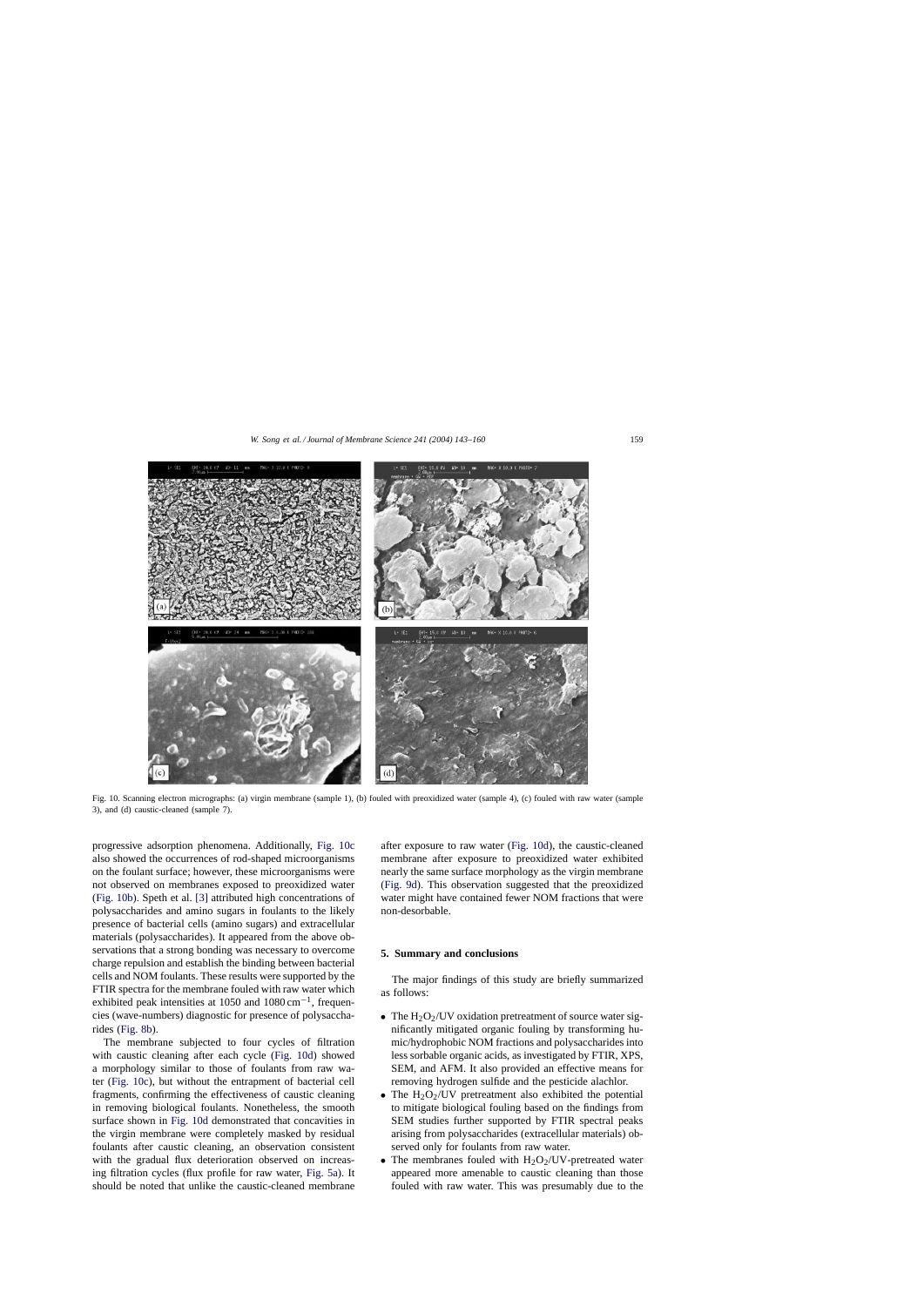<span id="page-16-0"></span>

Fig. 10. Scanning electron micrographs: (a) virgin membrane (sample 1), (b) fouled with preoxidized water (sample 4), (c) fouled with raw water (sample 3), and (d) caustic-cleaned (sample 7).

progressive adsorption phenomena. Additionally, Fig. 10c also showed the occurrences of rod-shaped microorganisms on the foulant surface; however, these microorganisms were not observed on membranes exposed to preoxidized water (Fig. 10b). Speth et al. [\[3\]](#page-17-0) attributed high concentrations of polysaccharides and amino sugars in foulants to the likely presence of bacterial cells (amino sugars) and extracellular materials (polysaccharides). It appeared from the above observations that a strong bonding was necessary to overcome charge repulsion and establish the binding between bacterial cells and NOM foulants. These results were supported by the FTIR spectra for the membrane fouled with raw water which exhibited peak intensities at 1050 and  $1080 \text{ cm}^{-1}$ , frequencies (wave-numbers) diagnostic for presence of polysaccharides [\(Fig. 8b\).](#page-12-0)

The membrane subjected to four cycles of filtration with caustic cleaning after each cycle (Fig. 10d) showed a morphology similar to those of foulants from raw water (Fig. 10c), but without the entrapment of bacterial cell fragments, confirming the effectiveness of caustic cleaning in removing biological foulants. Nonetheless, the smooth surface shown in Fig. 10d demonstrated that concavities in the virgin membrane were completely masked by residual foulants after caustic cleaning, an observation consistent with the gradual flux deterioration observed on increasing filtration cycles (flux profile for raw water, [Fig. 5a\).](#page-9-0) It should be noted that unlike the caustic-cleaned membrane

after exposure to raw water (Fig. 10d), the caustic-cleaned membrane after exposure to preoxidized water exhibited nearly the same surface morphology as the virgin membrane ([Fig. 9d\).](#page-15-0) This observation suggested that the preoxidized water might have contained fewer NOM fractions that were non-desorbable.

# **5. Summary and conclusions**

The major findings of this study are briefly summarized as follows:

- The  $H_2O_2$ /UV oxidation pretreatment of source water significantly mitigated organic fouling by transforming humic/hydrophobic NOM fractions and polysaccharides into less sorbable organic acids, as investigated by FTIR, XPS, SEM, and AFM. It also provided an effective means for removing hydrogen sulfide and the pesticide alachlor.
- The  $H<sub>2</sub>O<sub>2</sub>/UV$  pretreatment also exhibited the potential to mitigate biological fouling based on the findings from SEM studies further supported by FTIR spectral peaks arising from polysaccharides (extracellular materials) observed only for foulants from raw water.
- The membranes fouled with  $H_2O_2$ /UV-pretreated water appeared more amenable to caustic cleaning than those fouled with raw water. This was presumably due to the